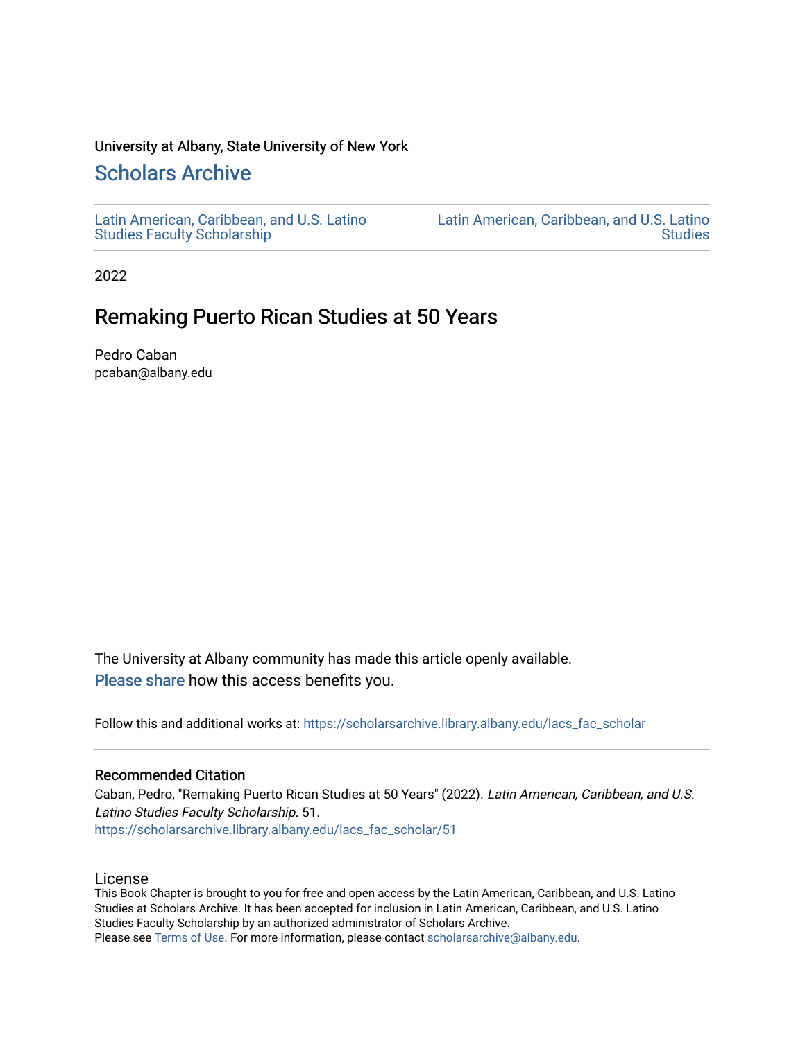## University at Albany, State University of New York

## [Scholars Archive](https://scholarsarchive.library.albany.edu/)

[Latin American, Caribbean, and U.S. Latino](https://scholarsarchive.library.albany.edu/lacs_fac_scholar)  [Studies Faculty Scholarship](https://scholarsarchive.library.albany.edu/lacs_fac_scholar) 

[Latin American, Caribbean, and U.S. Latino](https://scholarsarchive.library.albany.edu/lacs)  **Studies** 

2022

# Remaking Puerto Rican Studies at 50 Years

Pedro Caban pcaban@albany.edu

The University at Albany community has made this article openly available. [Please share](https://albany.libwizard.com/f/open-access-feedback) how this access benefits you.

Follow this and additional works at: [https://scholarsarchive.library.albany.edu/lacs\\_fac\\_scholar](https://scholarsarchive.library.albany.edu/lacs_fac_scholar?utm_source=scholarsarchive.library.albany.edu%2Flacs_fac_scholar%2F51&utm_medium=PDF&utm_campaign=PDFCoverPages)

## Recommended Citation

Caban, Pedro, "Remaking Puerto Rican Studies at 50 Years" (2022). Latin American, Caribbean, and U.S. Latino Studies Faculty Scholarship. 51.

[https://scholarsarchive.library.albany.edu/lacs\\_fac\\_scholar/51](https://scholarsarchive.library.albany.edu/lacs_fac_scholar/51?utm_source=scholarsarchive.library.albany.edu%2Flacs_fac_scholar%2F51&utm_medium=PDF&utm_campaign=PDFCoverPages) 

## License

This Book Chapter is brought to you for free and open access by the Latin American, Caribbean, and U.S. Latino Studies at Scholars Archive. It has been accepted for inclusion in Latin American, Caribbean, and U.S. Latino Studies Faculty Scholarship by an authorized administrator of Scholars Archive. Please see [Terms of Use.](https://scholarsarchive.library.albany.edu/terms_of_use.html) For more information, please contact [scholarsarchive@albany.edu](mailto:scholarsarchive@albany.edu).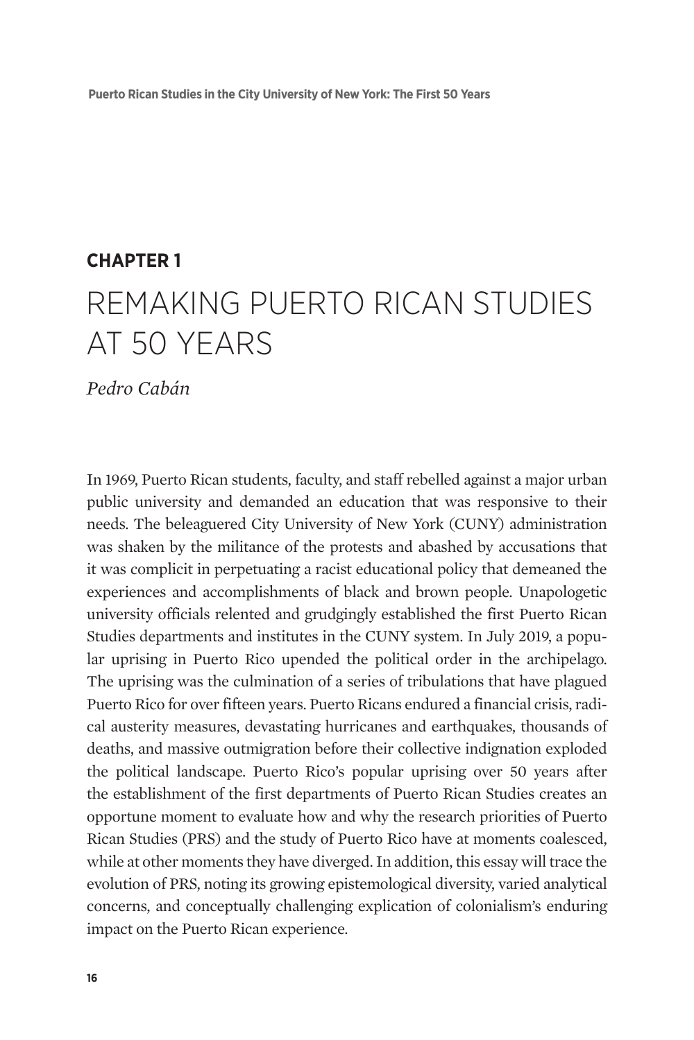#### **CHAPTER 1**

# REMAKING PUERTO RICAN STUDIES AT 50 YEARS

*Pedro Cabán*

In 1969, Puerto Rican students, faculty, and staff rebelled against a major urban public university and demanded an education that was responsive to their needs. The beleaguered City University of New York (CUNY) administration was shaken by the militance of the protests and abashed by accusations that it was complicit in perpetuating a racist educational policy that demeaned the experiences and accomplishments of black and brown people. Unapologetic university officials relented and grudgingly established the first Puerto Rican Studies departments and institutes in the CUNY system. In July 2019, a popular uprising in Puerto Rico upended the political order in the archipelago. The uprising was the culmination of a series of tribulations that have plagued Puerto Rico for over fifteen years. Puerto Ricans endured a financial crisis, radical austerity measures, devastating hurricanes and earthquakes, thousands of deaths, and massive outmigration before their collective indignation exploded the political landscape. Puerto Rico's popular uprising over 50 years after the establishment of the first departments of Puerto Rican Studies creates an opportune moment to evaluate how and why the research priorities of Puerto Rican Studies (PRS) and the study of Puerto Rico have at moments coalesced, while at other moments they have diverged. In addition, this essay will trace the evolution of PRS, noting its growing epistemological diversity, varied analytical concerns, and conceptually challenging explication of colonialism's enduring impact on the Puerto Rican experience.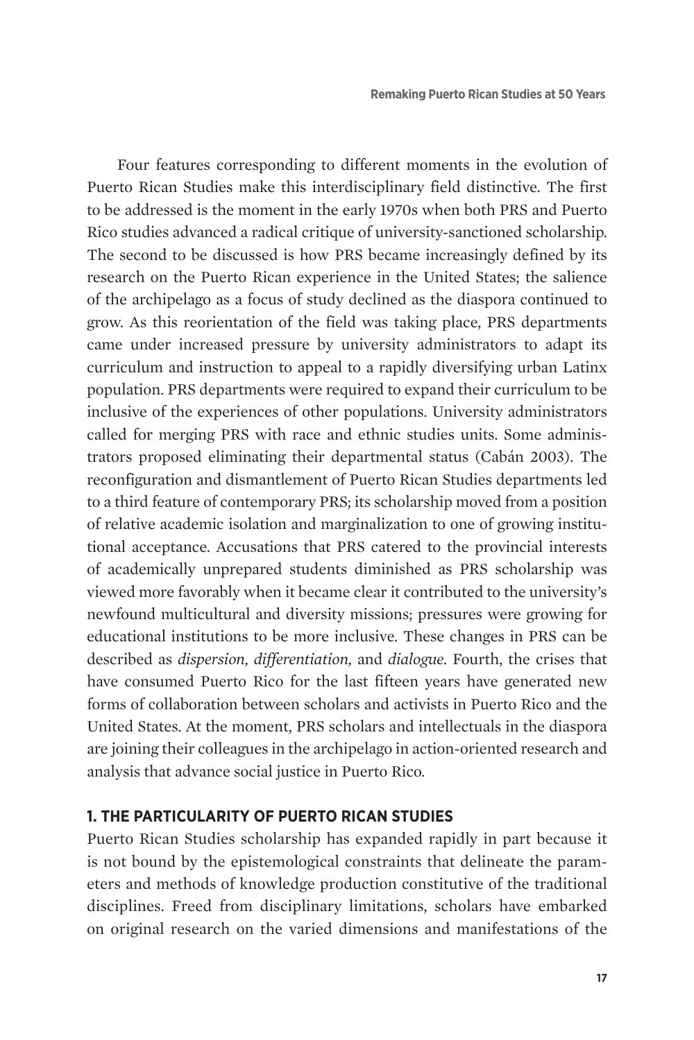Four features corresponding to different moments in the evolution of Puerto Rican Studies make this interdisciplinary field distinctive. The first to be addressed is the moment in the early 1970s when both PRS and Puerto Rico studies advanced a radical critique of university-sanctioned scholarship. The second to be discussed is how PRS became increasingly defined by its research on the Puerto Rican experience in the United States; the salience of the archipelago as a focus of study declined as the diaspora continued to grow. As this reorientation of the field was taking place, PRS departments came under increased pressure by university administrators to adapt its curriculum and instruction to appeal to a rapidly diversifying urban Latinx population. PRS departments were required to expand their curriculum to be inclusive of the experiences of other populations. University administrators called for merging PRS with race and ethnic studies units. Some administrators proposed eliminating their departmental status (Cabán 2003). The reconfiguration and dismantlement of Puerto Rican Studies departments led to a third feature of contemporary PRS; its scholarship moved from a position of relative academic isolation and marginalization to one of growing institutional acceptance. Accusations that PRS catered to the provincial interests of academically unprepared students diminished as PRS scholarship was viewed more favorably when it became clear it contributed to the university's newfound multicultural and diversity missions; pressures were growing for educational institutions to be more inclusive. These changes in PRS can be described as *dispersion, differentiation,* and *dialogue.* Fourth, the crises that have consumed Puerto Rico for the last fifteen years have generated new forms of collaboration between scholars and activists in Puerto Rico and the United States. At the moment, PRS scholars and intellectuals in the diaspora are joining their colleagues in the archipelago in action-oriented research and analysis that advance social justice in Puerto Rico.

## **1. THE PARTICULARITY OF PUERTO RICAN STUDIES**

Puerto Rican Studies scholarship has expanded rapidly in part because it is not bound by the epistemological constraints that delineate the parameters and methods of knowledge production constitutive of the traditional disciplines. Freed from disciplinary limitations, scholars have embarked on original research on the varied dimensions and manifestations of the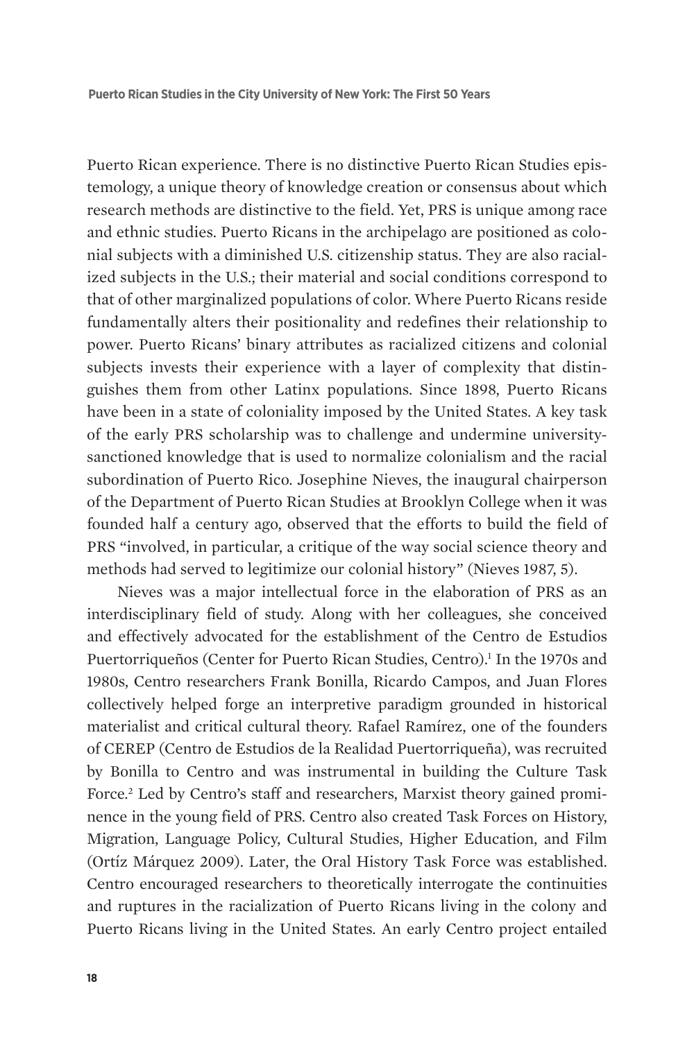Puerto Rican experience. There is no distinctive Puerto Rican Studies epistemology, a unique theory of knowledge creation or consensus about which research methods are distinctive to the field. Yet, PRS is unique among race and ethnic studies. Puerto Ricans in the archipelago are positioned as colonial subjects with a diminished U.S. citizenship status. They are also racialized subjects in the U.S.; their material and social conditions correspond to that of other marginalized populations of color. Where Puerto Ricans reside fundamentally alters their positionality and redefines their relationship to power. Puerto Ricans' binary attributes as racialized citizens and colonial subjects invests their experience with a layer of complexity that distinguishes them from other Latinx populations. Since 1898, Puerto Ricans have been in a state of coloniality imposed by the United States. A key task of the early PRS scholarship was to challenge and undermine universitysanctioned knowledge that is used to normalize colonialism and the racial subordination of Puerto Rico. Josephine Nieves, the inaugural chairperson of the Department of Puerto Rican Studies at Brooklyn College when it was founded half a century ago, observed that the efforts to build the field of PRS "involved, in particular, a critique of the way social science theory and methods had served to legitimize our colonial history" (Nieves 1987, 5).

Nieves was a major intellectual force in the elaboration of PRS as an interdisciplinary field of study. Along with her colleagues, she conceived and effectively advocated for the establishment of the Centro de Estudios Puertorriqueños (Center for Puerto Rican Studies, Centro).<sup>1</sup> In the 1970s and 1980s, Centro researchers Frank Bonilla, Ricardo Campos, and Juan Flores collectively helped forge an interpretive paradigm grounded in historical materialist and critical cultural theory. Rafael Ramírez, one of the founders of CEREP (Centro de Estudios de la Realidad Puertorriqueña), was recruited by Bonilla to Centro and was instrumental in building the Culture Task Force.<sup>2</sup> Led by Centro's staff and researchers, Marxist theory gained prominence in the young field of PRS. Centro also created Task Forces on History, Migration, Language Policy, Cultural Studies, Higher Education, and Film (Ortíz Márquez 2009). Later, the Oral History Task Force was established. Centro encouraged researchers to theoretically interrogate the continuities and ruptures in the racialization of Puerto Ricans living in the colony and Puerto Ricans living in the United States. An early Centro project entailed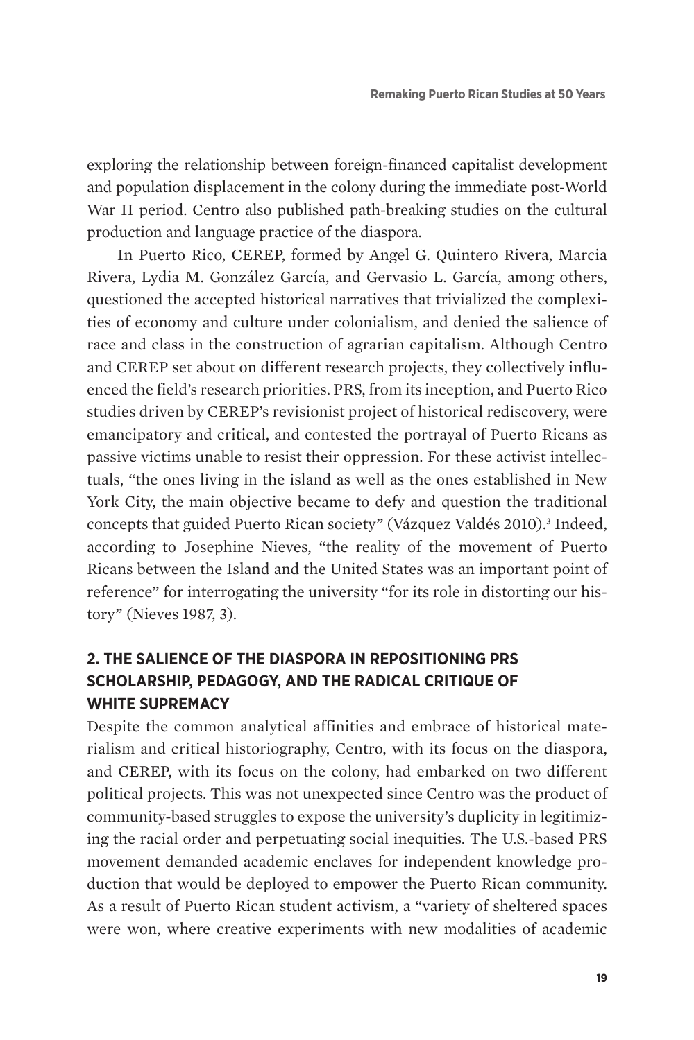exploring the relationship between foreign-financed capitalist development and population displacement in the colony during the immediate post-World War II period. Centro also published path-breaking studies on the cultural production and language practice of the diaspora.

In Puerto Rico, CEREP, formed by Angel G. Quintero Rivera, Marcia Rivera, Lydia M. González García, and Gervasio L. García, among others, questioned the accepted historical narratives that trivialized the complexities of economy and culture under colonialism, and denied the salience of race and class in the construction of agrarian capitalism. Although Centro and CEREP set about on different research projects, they collectively influenced the field's research priorities. PRS, from its inception, and Puerto Rico studies driven by CEREP's revisionist project of historical rediscovery, were emancipatory and critical, and contested the portrayal of Puerto Ricans as passive victims unable to resist their oppression. For these activist intellectuals, "the ones living in the island as well as the ones established in New York City, the main objective became to defy and question the traditional concepts that guided Puerto Rican society" (Vázquez Valdés 2010).<sup>3</sup> Indeed, according to Josephine Nieves, "the reality of the movement of Puerto Ricans between the Island and the United States was an important point of reference" for interrogating the university "for its role in distorting our history" (Nieves 1987, 3).

## **2. THE SALIENCE OF THE DIASPORA IN REPOSITIONING PRS SCHOLARSHIP, PEDAGOGY, AND THE RADICAL CRITIQUE OF WHITE SUPREMACY**

Despite the common analytical affinities and embrace of historical materialism and critical historiography, Centro, with its focus on the diaspora, and CEREP, with its focus on the colony, had embarked on two different political projects. This was not unexpected since Centro was the product of community-based struggles to expose the university's duplicity in legitimizing the racial order and perpetuating social inequities. The U.S.-based PRS movement demanded academic enclaves for independent knowledge production that would be deployed to empower the Puerto Rican community. As a result of Puerto Rican student activism, a "variety of sheltered spaces were won, where creative experiments with new modalities of academic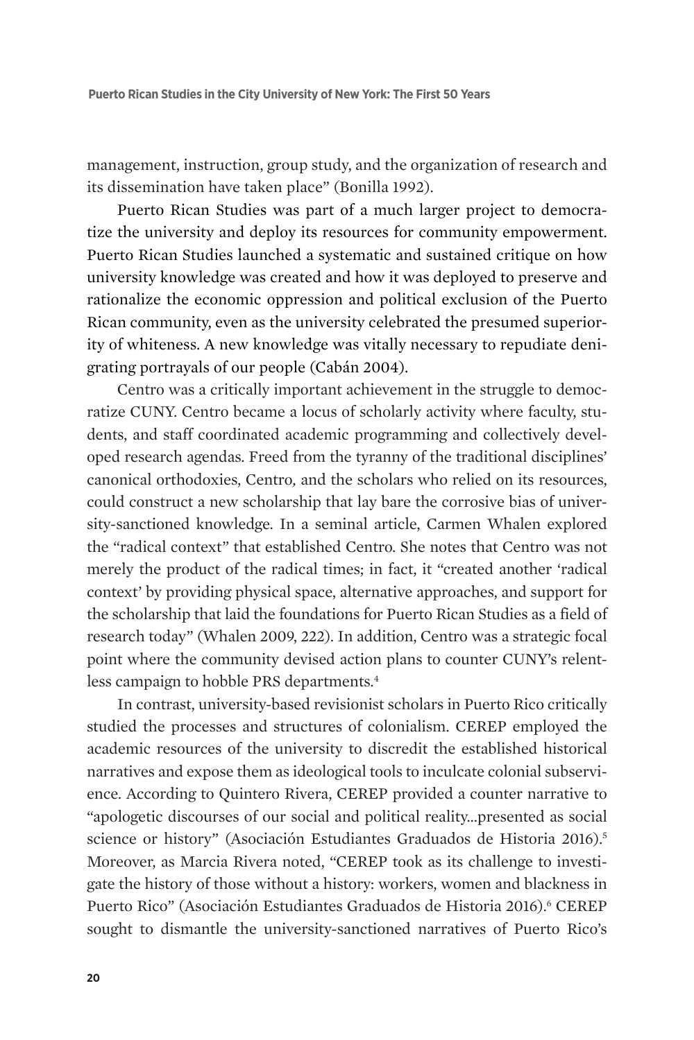management, instruction, group study, and the organization of research and its dissemination have taken place" (Bonilla 1992).

Puerto Rican Studies was part of a much larger project to democratize the university and deploy its resources for community empowerment. Puerto Rican Studies launched a systematic and sustained critique on how university knowledge was created and how it was deployed to preserve and rationalize the economic oppression and political exclusion of the Puerto Rican community, even as the university celebrated the presumed superiority of whiteness. A new knowledge was vitally necessary to repudiate denigrating portrayals of our people (Cabán 2004).

Centro was a critically important achievement in the struggle to democratize CUNY. Centro became a locus of scholarly activity where faculty, students, and staff coordinated academic programming and collectively developed research agendas. Freed from the tyranny of the traditional disciplines' canonical orthodoxies, Centro*,* and the scholars who relied on its resources, could construct a new scholarship that lay bare the corrosive bias of university-sanctioned knowledge. In a seminal article, Carmen Whalen explored the "radical context" that established Centro. She notes that Centro was not merely the product of the radical times; in fact, it "created another 'radical context' by providing physical space, alternative approaches, and support for the scholarship that laid the foundations for Puerto Rican Studies as a field of research today" (Whalen 2009, 222). In addition, Centro was a strategic focal point where the community devised action plans to counter CUNY's relentless campaign to hobble PRS departments.4

In contrast, university-based revisionist scholars in Puerto Rico critically studied the processes and structures of colonialism. CEREP employed the academic resources of the university to discredit the established historical narratives and expose them as ideological tools to inculcate colonial subservience. According to Quintero Rivera, CEREP provided a counter narrative to "apologetic discourses of our social and political reality...presented as social science or history" (Asociación Estudiantes Graduados de Historia 2016).<sup>5</sup> Moreover, as Marcia Rivera noted, "CEREP took as its challenge to investigate the history of those without a history: workers, women and blackness in Puerto Rico" (Asociación Estudiantes Graduados de Historia 2016).<sup>6</sup> CEREP sought to dismantle the university-sanctioned narratives of Puerto Rico's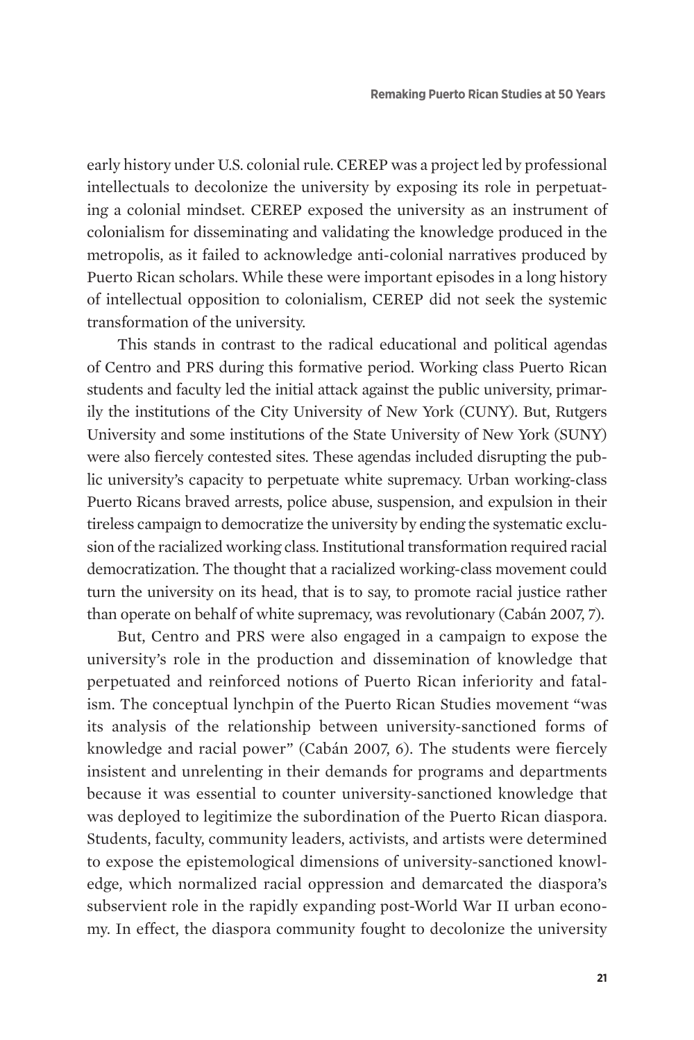early history under U.S. colonial rule. CEREP was a project led by professional intellectuals to decolonize the university by exposing its role in perpetuating a colonial mindset. CEREP exposed the university as an instrument of colonialism for disseminating and validating the knowledge produced in the metropolis, as it failed to acknowledge anti-colonial narratives produced by Puerto Rican scholars. While these were important episodes in a long history of intellectual opposition to colonialism, CEREP did not seek the systemic transformation of the university.

This stands in contrast to the radical educational and political agendas of Centro and PRS during this formative period. Working class Puerto Rican students and faculty led the initial attack against the public university, primarily the institutions of the City University of New York (CUNY). But, Rutgers University and some institutions of the State University of New York (SUNY) were also fiercely contested sites. These agendas included disrupting the public university's capacity to perpetuate white supremacy. Urban working-class Puerto Ricans braved arrests, police abuse, suspension, and expulsion in their tireless campaign to democratize the university by ending the systematic exclusion of the racialized working class. Institutional transformation required racial democratization. The thought that a racialized working-class movement could turn the university on its head, that is to say, to promote racial justice rather than operate on behalf of white supremacy, was revolutionary (Cabán 2007, 7).

But, Centro and PRS were also engaged in a campaign to expose the university's role in the production and dissemination of knowledge that perpetuated and reinforced notions of Puerto Rican inferiority and fatalism. The conceptual lynchpin of the Puerto Rican Studies movement "was its analysis of the relationship between university-sanctioned forms of knowledge and racial power" (Cabán 2007, 6). The students were fiercely insistent and unrelenting in their demands for programs and departments because it was essential to counter university-sanctioned knowledge that was deployed to legitimize the subordination of the Puerto Rican diaspora. Students, faculty, community leaders, activists, and artists were determined to expose the epistemological dimensions of university-sanctioned knowledge, which normalized racial oppression and demarcated the diaspora's subservient role in the rapidly expanding post-World War II urban economy. In effect, the diaspora community fought to decolonize the university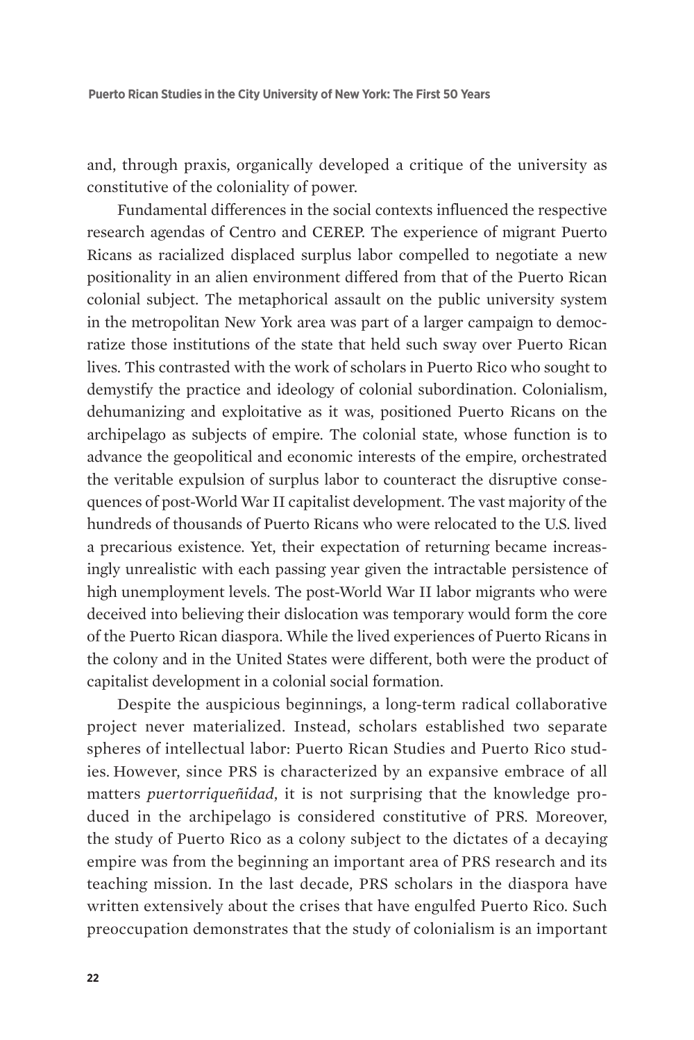**Puerto Rican Studies in the City University of New York: The First 50 Years**

and, through praxis, organically developed a critique of the university as constitutive of the coloniality of power.

Fundamental differences in the social contexts influenced the respective research agendas of Centro and CEREP. The experience of migrant Puerto Ricans as racialized displaced surplus labor compelled to negotiate a new positionality in an alien environment differed from that of the Puerto Rican colonial subject. The metaphorical assault on the public university system in the metropolitan New York area was part of a larger campaign to democratize those institutions of the state that held such sway over Puerto Rican lives. This contrasted with the work of scholars in Puerto Rico who sought to demystify the practice and ideology of colonial subordination. Colonialism, dehumanizing and exploitative as it was, positioned Puerto Ricans on the archipelago as subjects of empire. The colonial state, whose function is to advance the geopolitical and economic interests of the empire, orchestrated the veritable expulsion of surplus labor to counteract the disruptive consequences of post-World War II capitalist development. The vast majority of the hundreds of thousands of Puerto Ricans who were relocated to the U.S. lived a precarious existence. Yet, their expectation of returning became increasingly unrealistic with each passing year given the intractable persistence of high unemployment levels. The post-World War II labor migrants who were deceived into believing their dislocation was temporary would form the core of the Puerto Rican diaspora. While the lived experiences of Puerto Ricans in the colony and in the United States were different, both were the product of capitalist development in a colonial social formation.

Despite the auspicious beginnings, a long-term radical collaborative project never materialized. Instead, scholars established two separate spheres of intellectual labor: Puerto Rican Studies and Puerto Rico studies. However, since PRS is characterized by an expansive embrace of all matters *puertorriqueñidad*, it is not surprising that the knowledge produced in the archipelago is considered constitutive of PRS. Moreover, the study of Puerto Rico as a colony subject to the dictates of a decaying empire was from the beginning an important area of PRS research and its teaching mission. In the last decade, PRS scholars in the diaspora have written extensively about the crises that have engulfed Puerto Rico. Such preoccupation demonstrates that the study of colonialism is an important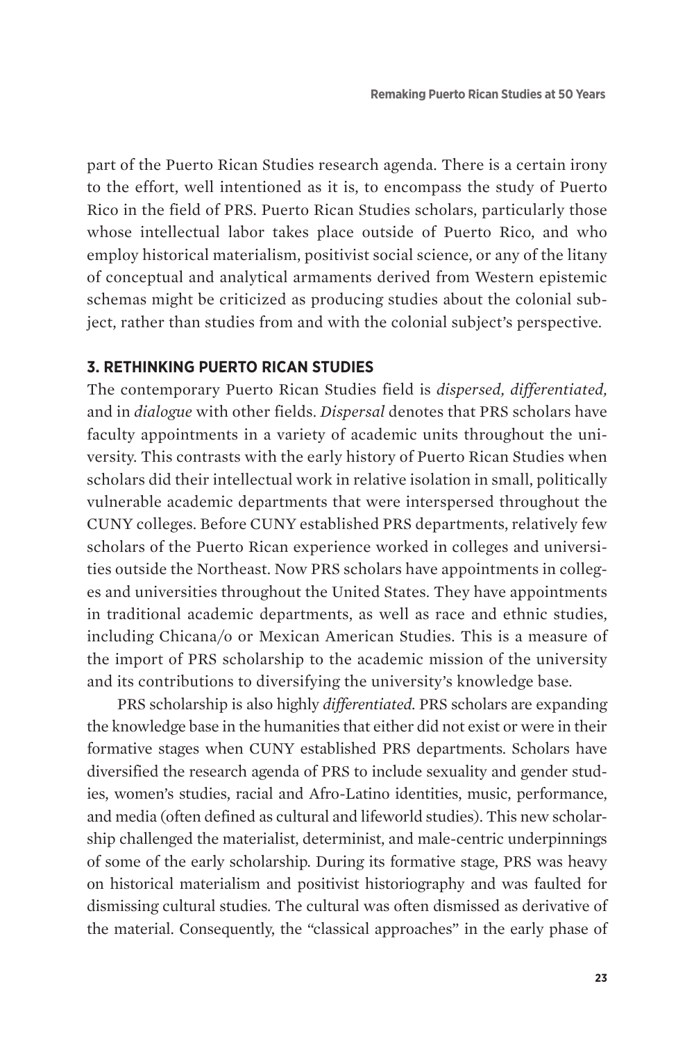part of the Puerto Rican Studies research agenda. There is a certain irony to the effort, well intentioned as it is, to encompass the study of Puerto Rico in the field of PRS. Puerto Rican Studies scholars, particularly those whose intellectual labor takes place outside of Puerto Rico, and who employ historical materialism, positivist social science, or any of the litany of conceptual and analytical armaments derived from Western epistemic schemas might be criticized as producing studies about the colonial subject, rather than studies from and with the colonial subject's perspective.

## **3. RETHINKING PUERTO RICAN STUDIES**

The contemporary Puerto Rican Studies field is *dispersed, differentiated,* and in *dialogue* with other fields. *Dispersal* denotes that PRS scholars have faculty appointments in a variety of academic units throughout the university. This contrasts with the early history of Puerto Rican Studies when scholars did their intellectual work in relative isolation in small, politically vulnerable academic departments that were interspersed throughout the CUNY colleges. Before CUNY established PRS departments, relatively few scholars of the Puerto Rican experience worked in colleges and universities outside the Northeast. Now PRS scholars have appointments in colleges and universities throughout the United States. They have appointments in traditional academic departments, as well as race and ethnic studies, including Chicana/o or Mexican American Studies. This is a measure of the import of PRS scholarship to the academic mission of the university and its contributions to diversifying the university's knowledge base.

PRS scholarship is also highly *differentiated.* PRS scholars are expanding the knowledge base in the humanities that either did not exist or were in their formative stages when CUNY established PRS departments. Scholars have diversified the research agenda of PRS to include sexuality and gender studies, women's studies, racial and Afro-Latino identities, music, performance, and media (often defined as cultural and lifeworld studies). This new scholarship challenged the materialist, determinist, and male-centric underpinnings of some of the early scholarship. During its formative stage, PRS was heavy on historical materialism and positivist historiography and was faulted for dismissing cultural studies. The cultural was often dismissed as derivative of the material. Consequently, the "classical approaches" in the early phase of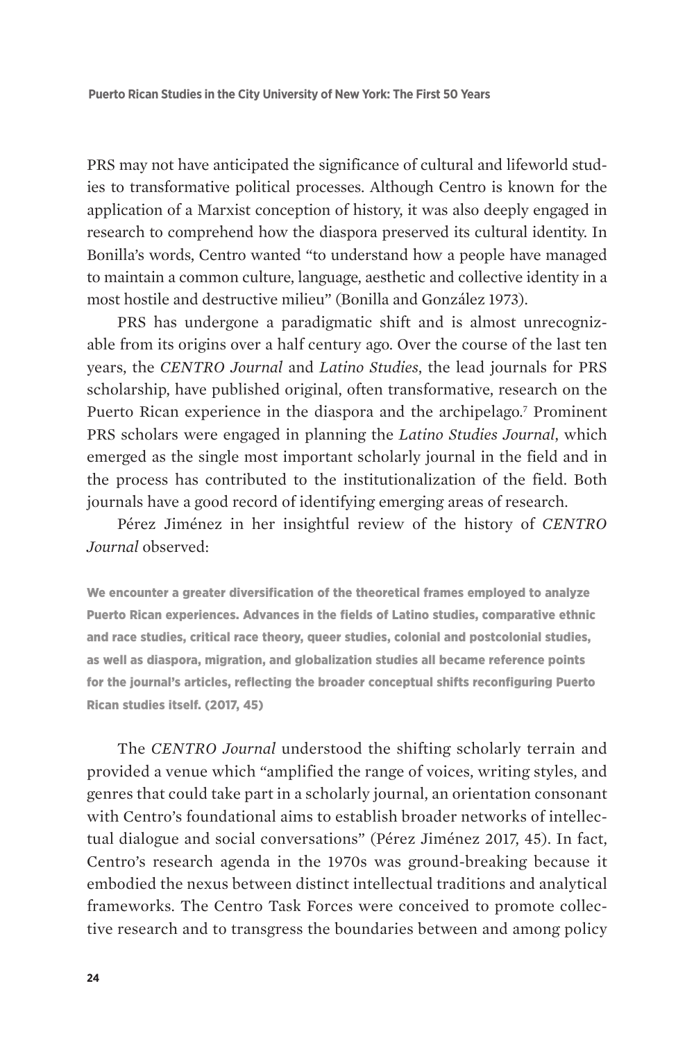PRS may not have anticipated the significance of cultural and lifeworld studies to transformative political processes. Although Centro is known for the application of a Marxist conception of history, it was also deeply engaged in research to comprehend how the diaspora preserved its cultural identity. In Bonilla's words, Centro wanted "to understand how a people have managed to maintain a common culture, language, aesthetic and collective identity in a most hostile and destructive milieu" (Bonilla and González 1973).

PRS has undergone a paradigmatic shift and is almost unrecognizable from its origins over a half century ago. Over the course of the last ten years, the *CENTRO Journal* and *Latino Studies*, the lead journals for PRS scholarship, have published original, often transformative, research on the Puerto Rican experience in the diaspora and the archipelago.<sup>7</sup> Prominent PRS scholars were engaged in planning the *Latino Studies Journal*, which emerged as the single most important scholarly journal in the field and in the process has contributed to the institutionalization of the field. Both journals have a good record of identifying emerging areas of research.

Pérez Jiménez in her insightful review of the history of *CENTRO Journal* observed:

We encounter a greater diversification of the theoretical frames employed to analyze Puerto Rican experiences. Advances in the fields of Latino studies, comparative ethnic and race studies, critical race theory, queer studies, colonial and postcolonial studies, as well as diaspora, migration, and globalization studies all became reference points for the journal's articles, reflecting the broader conceptual shifts reconfiguring Puerto Rican studies itself. (2017, 45)

The *CENTRO Journal* understood the shifting scholarly terrain and provided a venue which "amplified the range of voices, writing styles, and genres that could take part in a scholarly journal, an orientation consonant with Centro's foundational aims to establish broader networks of intellectual dialogue and social conversations" (Pérez Jiménez 2017, 45). In fact, Centro's research agenda in the 1970s was ground-breaking because it embodied the nexus between distinct intellectual traditions and analytical frameworks. The Centro Task Forces were conceived to promote collective research and to transgress the boundaries between and among policy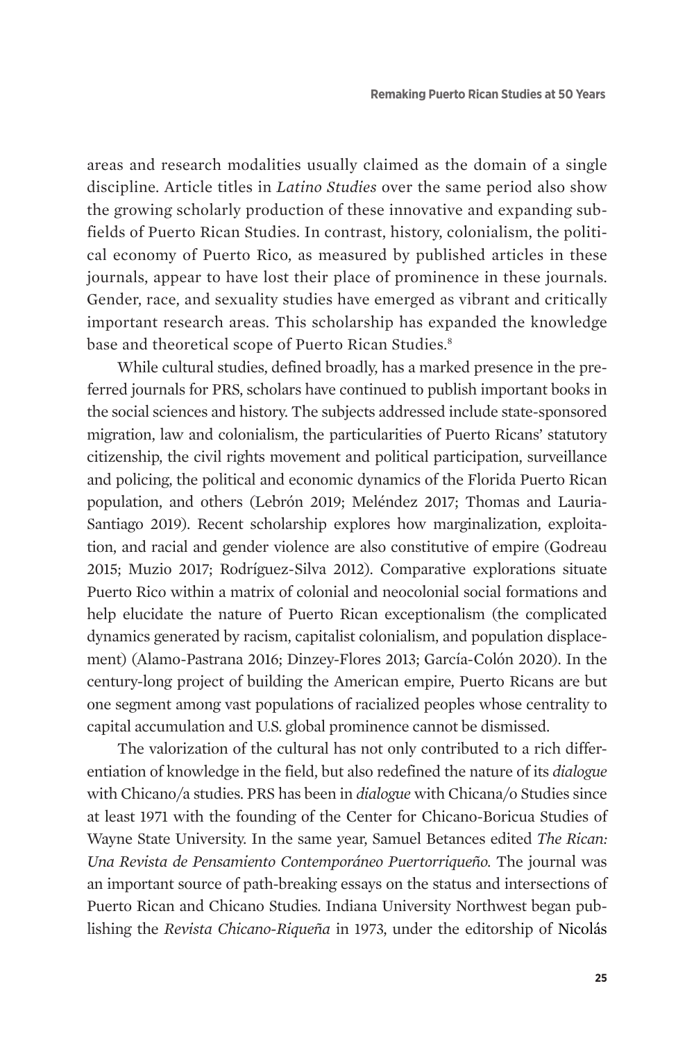areas and research modalities usually claimed as the domain of a single discipline. Article titles in *Latino Studies* over the same period also show the growing scholarly production of these innovative and expanding subfields of Puerto Rican Studies. In contrast, history, colonialism, the political economy of Puerto Rico, as measured by published articles in these journals, appear to have lost their place of prominence in these journals. Gender, race, and sexuality studies have emerged as vibrant and critically important research areas. This scholarship has expanded the knowledge base and theoretical scope of Puerto Rican Studies.<sup>8</sup>

While cultural studies, defined broadly, has a marked presence in the preferred journals for PRS, scholars have continued to publish important books in the social sciences and history. The subjects addressed include state-sponsored migration, law and colonialism, the particularities of Puerto Ricans' statutory citizenship, the civil rights movement and political participation, surveillance and policing, the political and economic dynamics of the Florida Puerto Rican population, and others (Lebrón 2019; Meléndez 2017; Thomas and Lauria-Santiago 2019). Recent scholarship explores how marginalization, exploitation, and racial and gender violence are also constitutive of empire (Godreau 2015; Muzio 2017; Rodríguez-Silva 2012). Comparative explorations situate Puerto Rico within a matrix of colonial and neocolonial social formations and help elucidate the nature of Puerto Rican exceptionalism (the complicated dynamics generated by racism, capitalist colonialism, and population displacement) (Alamo-Pastrana 2016; Dinzey-Flores 2013; García-Colón 2020). In the century-long project of building the American empire, Puerto Ricans are but one segment among vast populations of racialized peoples whose centrality to capital accumulation and U.S. global prominence cannot be dismissed.

The valorization of the cultural has not only contributed to a rich differentiation of knowledge in the field, but also redefined the nature of its *dialogue* with Chicano/a studies. PRS has been in *dialogue* with Chicana/o Studies since at least 1971 with the founding of the Center for Chicano-Boricua Studies of Wayne State University. In the same year, Samuel Betances edited *The Rican: Una Revista de Pensamiento Contemporáneo Puertorriqueño.* The journal was an important source of path-breaking essays on the status and intersections of Puerto Rican and Chicano Studies. Indiana University Northwest began publishing the *Revista Chicano-Riqueña* in 1973, under the editorship of Nicolás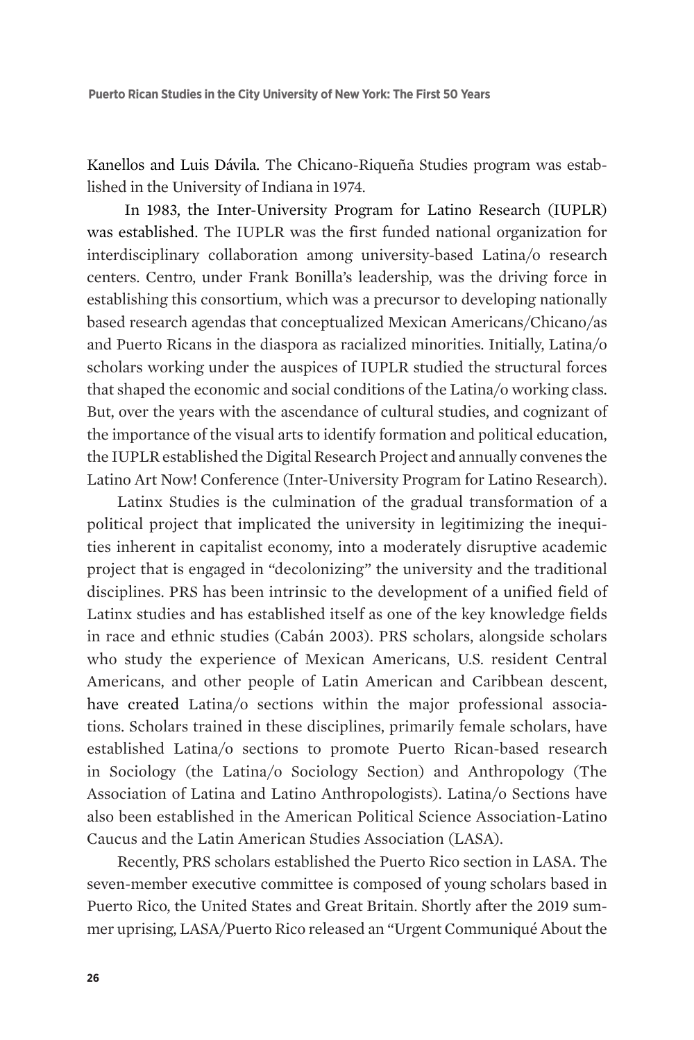Kanellos and Luis Dávila. The Chicano-Riqueña Studies program was established in the University of Indiana in 1974.

 In 1983, the Inter-University Program for Latino Research (IUPLR) was established. The IUPLR was the first funded national organization for interdisciplinary collaboration among university-based Latina/o research centers. Centro, under Frank Bonilla's leadership, was the driving force in establishing this consortium, which was a precursor to developing nationally based research agendas that conceptualized Mexican Americans/Chicano/as and Puerto Ricans in the diaspora as racialized minorities. Initially, Latina/o scholars working under the auspices of IUPLR studied the structural forces that shaped the economic and social conditions of the Latina/o working class. But, over the years with the ascendance of cultural studies, and cognizant of the importance of the visual arts to identify formation and political education, the IUPLR established the Digital Research Project and annually convenes the Latino Art Now! Conference (Inter-University Program for Latino Research).

Latinx Studies is the culmination of the gradual transformation of a political project that implicated the university in legitimizing the inequities inherent in capitalist economy, into a moderately disruptive academic project that is engaged in "decolonizing" the university and the traditional disciplines. PRS has been intrinsic to the development of a unified field of Latinx studies and has established itself as one of the key knowledge fields in race and ethnic studies (Cabán 2003). PRS scholars, alongside scholars who study the experience of Mexican Americans, U.S. resident Central Americans, and other people of Latin American and Caribbean descent, have created Latina/o sections within the major professional associations. Scholars trained in these disciplines, primarily female scholars, have established Latina/o sections to promote Puerto Rican-based research in Sociology (the Latina/o Sociology Section) and Anthropology (The Association of Latina and Latino Anthropologists). Latina/o Sections have also been established in the American Political Science Association-Latino Caucus and the Latin American Studies Association (LASA).

Recently, PRS scholars established the Puerto Rico section in LASA. The seven-member executive committee is composed of young scholars based in Puerto Rico, the United States and Great Britain. Shortly after the 2019 summer uprising, LASA/Puerto Rico released an "Urgent Communiqué About the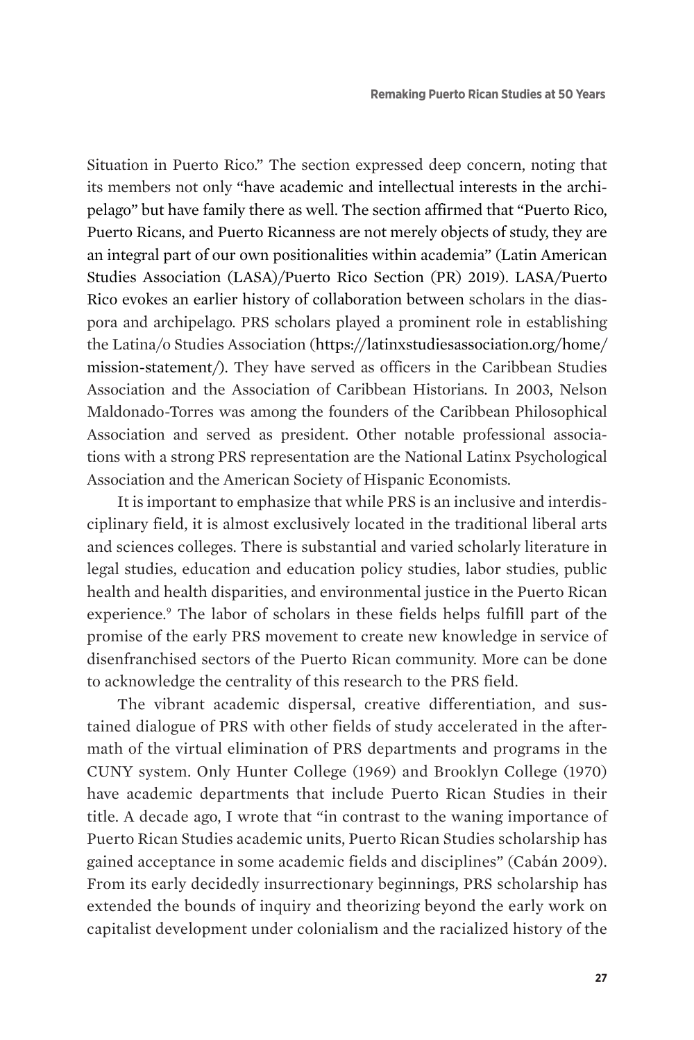Situation in Puerto Rico." The section expressed deep concern, noting that its members not only "have academic and intellectual interests in the archipelago" but have family there as well. The section affirmed that "Puerto Rico, Puerto Ricans, and Puerto Ricanness are not merely objects of study, they are an integral part of our own positionalities within academia" (Latin American Studies Association (LASA)/Puerto Rico Section (PR) 2019). LASA/Puerto Rico evokes an earlier history of collaboration between scholars in the diaspora and archipelago. PRS scholars played a prominent role in establishing the Latina/o Studies Association (https://latinxstudiesassociation.org/home/ mission-statement/). They have served as officers in the Caribbean Studies Association and the Association of Caribbean Historians. In 2003, Nelson Maldonado-Torres was among the founders of the Caribbean Philosophical Association and served as president. Other notable professional associations with a strong PRS representation are the National Latinx Psychological Association and the American Society of Hispanic Economists.

It is important to emphasize that while PRS is an inclusive and interdisciplinary field, it is almost exclusively located in the traditional liberal arts and sciences colleges. There is substantial and varied scholarly literature in legal studies, education and education policy studies, labor studies, public health and health disparities, and environmental justice in the Puerto Rican experience.<sup>9</sup> The labor of scholars in these fields helps fulfill part of the promise of the early PRS movement to create new knowledge in service of disenfranchised sectors of the Puerto Rican community. More can be done to acknowledge the centrality of this research to the PRS field.

The vibrant academic dispersal, creative differentiation, and sustained dialogue of PRS with other fields of study accelerated in the aftermath of the virtual elimination of PRS departments and programs in the CUNY system. Only Hunter College (1969) and Brooklyn College (1970) have academic departments that include Puerto Rican Studies in their title. A decade ago, I wrote that "in contrast to the waning importance of Puerto Rican Studies academic units, Puerto Rican Studies scholarship has gained acceptance in some academic fields and disciplines" (Cabán 2009). From its early decidedly insurrectionary beginnings, PRS scholarship has extended the bounds of inquiry and theorizing beyond the early work on capitalist development under colonialism and the racialized history of the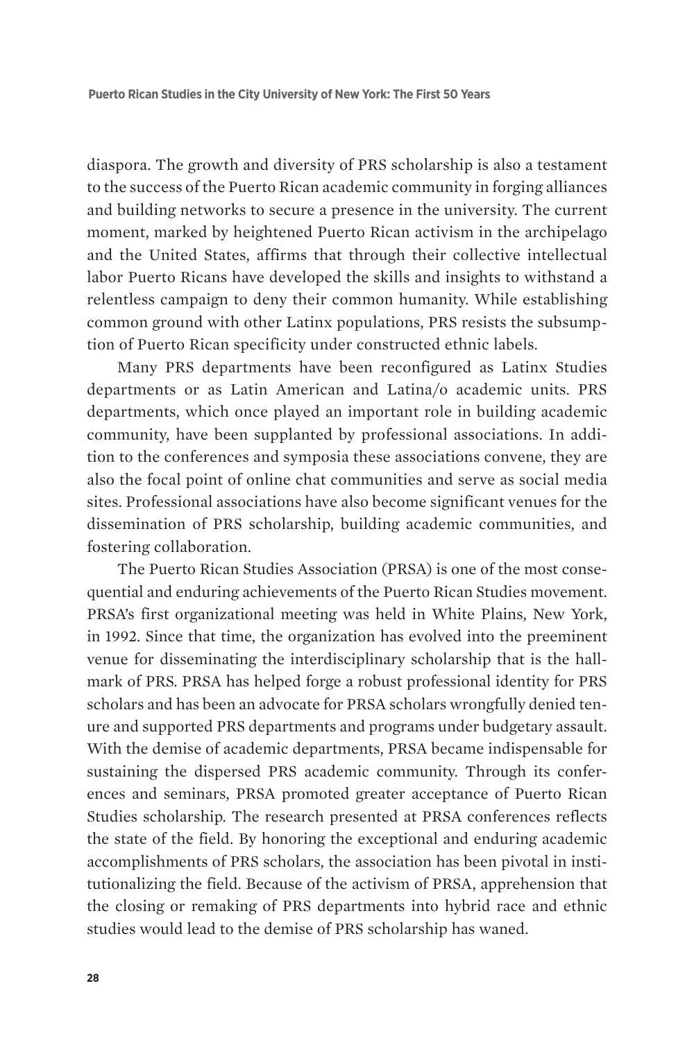diaspora. The growth and diversity of PRS scholarship is also a testament to the success of the Puerto Rican academic community in forging alliances and building networks to secure a presence in the university. The current moment, marked by heightened Puerto Rican activism in the archipelago and the United States, affirms that through their collective intellectual labor Puerto Ricans have developed the skills and insights to withstand a relentless campaign to deny their common humanity. While establishing common ground with other Latinx populations, PRS resists the subsumption of Puerto Rican specificity under constructed ethnic labels.

Many PRS departments have been reconfigured as Latinx Studies departments or as Latin American and Latina/o academic units. PRS departments, which once played an important role in building academic community, have been supplanted by professional associations. In addition to the conferences and symposia these associations convene, they are also the focal point of online chat communities and serve as social media sites. Professional associations have also become significant venues for the dissemination of PRS scholarship, building academic communities, and fostering collaboration.

The Puerto Rican Studies Association (PRSA) is one of the most consequential and enduring achievements of the Puerto Rican Studies movement. PRSA's first organizational meeting was held in White Plains, New York, in 1992. Since that time, the organization has evolved into the preeminent venue for disseminating the interdisciplinary scholarship that is the hallmark of PRS. PRSA has helped forge a robust professional identity for PRS scholars and has been an advocate for PRSA scholars wrongfully denied tenure and supported PRS departments and programs under budgetary assault. With the demise of academic departments, PRSA became indispensable for sustaining the dispersed PRS academic community. Through its conferences and seminars, PRSA promoted greater acceptance of Puerto Rican Studies scholarship. The research presented at PRSA conferences reflects the state of the field. By honoring the exceptional and enduring academic accomplishments of PRS scholars, the association has been pivotal in institutionalizing the field. Because of the activism of PRSA, apprehension that the closing or remaking of PRS departments into hybrid race and ethnic studies would lead to the demise of PRS scholarship has waned.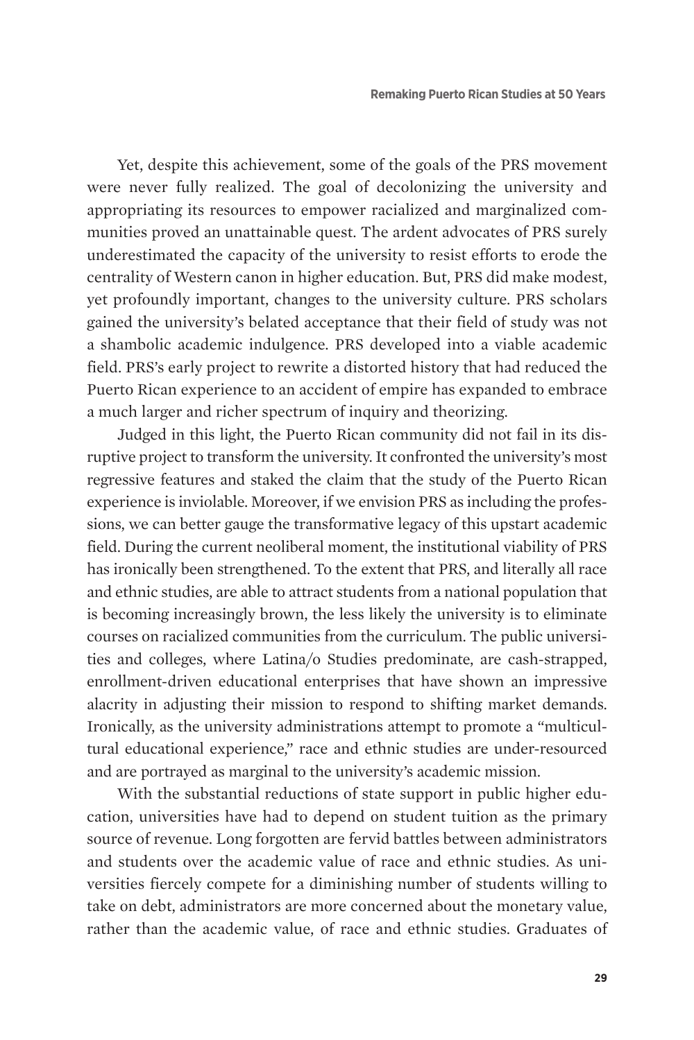Yet, despite this achievement, some of the goals of the PRS movement were never fully realized. The goal of decolonizing the university and appropriating its resources to empower racialized and marginalized communities proved an unattainable quest. The ardent advocates of PRS surely underestimated the capacity of the university to resist efforts to erode the centrality of Western canon in higher education. But, PRS did make modest, yet profoundly important, changes to the university culture. PRS scholars gained the university's belated acceptance that their field of study was not a shambolic academic indulgence. PRS developed into a viable academic field. PRS's early project to rewrite a distorted history that had reduced the Puerto Rican experience to an accident of empire has expanded to embrace a much larger and richer spectrum of inquiry and theorizing.

Judged in this light, the Puerto Rican community did not fail in its disruptive project to transform the university. It confronted the university's most regressive features and staked the claim that the study of the Puerto Rican experience is inviolable. Moreover, if we envision PRS as including the professions, we can better gauge the transformative legacy of this upstart academic field. During the current neoliberal moment, the institutional viability of PRS has ironically been strengthened. To the extent that PRS, and literally all race and ethnic studies, are able to attract students from a national population that is becoming increasingly brown, the less likely the university is to eliminate courses on racialized communities from the curriculum. The public universities and colleges, where Latina/o Studies predominate, are cash-strapped, enrollment-driven educational enterprises that have shown an impressive alacrity in adjusting their mission to respond to shifting market demands. Ironically, as the university administrations attempt to promote a "multicultural educational experience," race and ethnic studies are under-resourced and are portrayed as marginal to the university's academic mission.

With the substantial reductions of state support in public higher education, universities have had to depend on student tuition as the primary source of revenue. Long forgotten are fervid battles between administrators and students over the academic value of race and ethnic studies. As universities fiercely compete for a diminishing number of students willing to take on debt, administrators are more concerned about the monetary value, rather than the academic value, of race and ethnic studies. Graduates of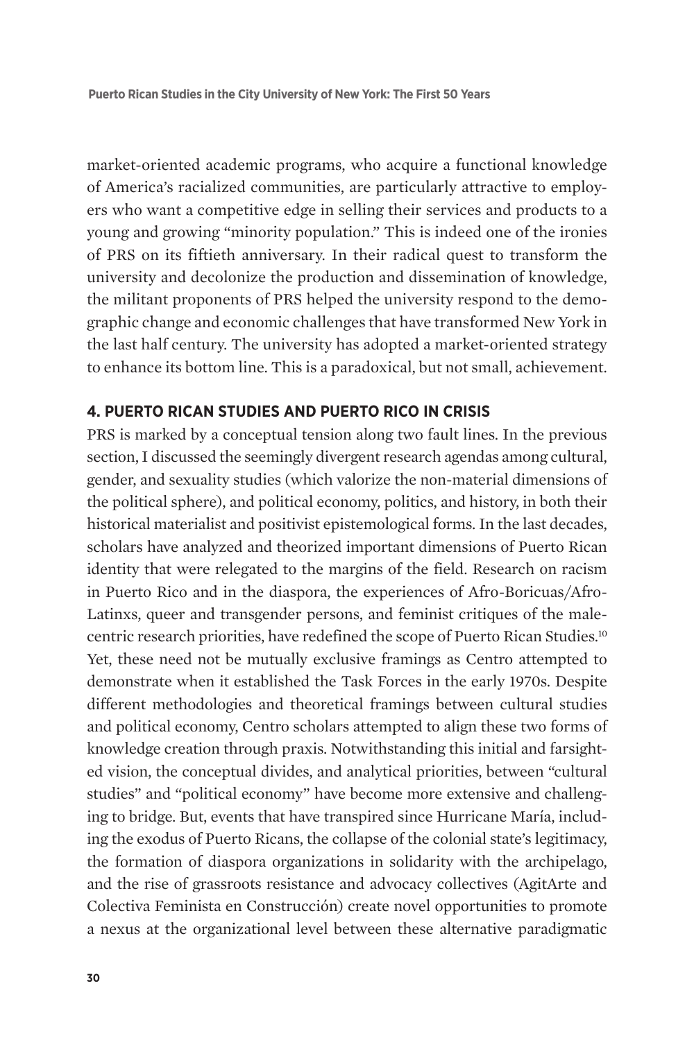market-oriented academic programs, who acquire a functional knowledge of America's racialized communities, are particularly attractive to employers who want a competitive edge in selling their services and products to a young and growing "minority population." This is indeed one of the ironies of PRS on its fiftieth anniversary. In their radical quest to transform the university and decolonize the production and dissemination of knowledge, the militant proponents of PRS helped the university respond to the demographic change and economic challenges that have transformed New York in the last half century. The university has adopted a market-oriented strategy to enhance its bottom line. This is a paradoxical, but not small, achievement.

## **4. PUERTO RICAN STUDIES AND PUERTO RICO IN CRISIS**

PRS is marked by a conceptual tension along two fault lines. In the previous section, I discussed the seemingly divergent research agendas among cultural, gender, and sexuality studies (which valorize the non-material dimensions of the political sphere), and political economy, politics, and history, in both their historical materialist and positivist epistemological forms. In the last decades, scholars have analyzed and theorized important dimensions of Puerto Rican identity that were relegated to the margins of the field. Research on racism in Puerto Rico and in the diaspora, the experiences of Afro-Boricuas/Afro-Latinxs, queer and transgender persons, and feminist critiques of the malecentric research priorities, have redefined the scope of Puerto Rican Studies.10 Yet, these need not be mutually exclusive framings as Centro attempted to demonstrate when it established the Task Forces in the early 1970s*.* Despite different methodologies and theoretical framings between cultural studies and political economy, Centro scholars attempted to align these two forms of knowledge creation through praxis. Notwithstanding this initial and farsighted vision, the conceptual divides, and analytical priorities, between "cultural studies" and "political economy" have become more extensive and challenging to bridge. But, events that have transpired since Hurricane María, including the exodus of Puerto Ricans, the collapse of the colonial state's legitimacy, the formation of diaspora organizations in solidarity with the archipelago, and the rise of grassroots resistance and advocacy collectives (AgitArte and Colectiva Feminista en Construcción) create novel opportunities to promote a nexus at the organizational level between these alternative paradigmatic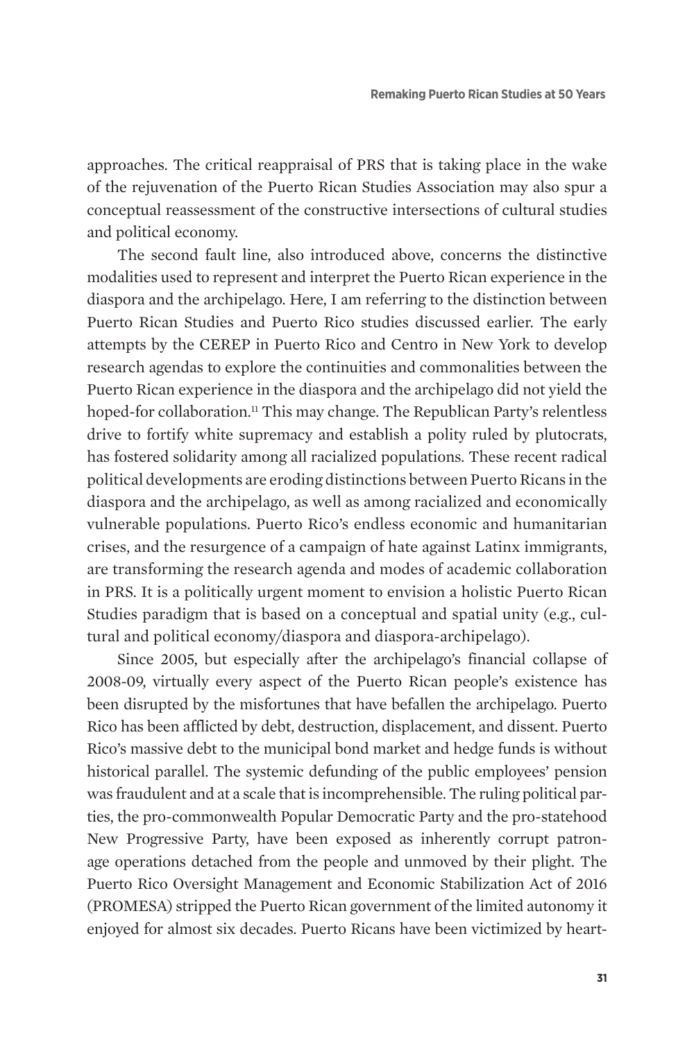approaches. The critical reappraisal of PRS that is taking place in the wake of the rejuvenation of the Puerto Rican Studies Association may also spur a conceptual reassessment of the constructive intersections of cultural studies and political economy.

The second fault line, also introduced above, concerns the distinctive modalities used to represent and interpret the Puerto Rican experience in the diaspora and the archipelago. Here, I am referring to the distinction between Puerto Rican Studies and Puerto Rico studies discussed earlier. The early attempts by the CEREP in Puerto Rico and Centro in New York to develop research agendas to explore the continuities and commonalities between the Puerto Rican experience in the diaspora and the archipelago did not yield the hoped-for collaboration.<sup>11</sup> This may change. The Republican Party's relentless drive to fortify white supremacy and establish a polity ruled by plutocrats, has fostered solidarity among all racialized populations. These recent radical political developments are eroding distinctions between Puerto Ricans in the diaspora and the archipelago, as well as among racialized and economically vulnerable populations. Puerto Rico's endless economic and humanitarian crises, and the resurgence of a campaign of hate against Latinx immigrants, are transforming the research agenda and modes of academic collaboration in PRS. It is a politically urgent moment to envision a holistic Puerto Rican Studies paradigm that is based on a conceptual and spatial unity (e.g., cultural and political economy/diaspora and diaspora-archipelago).

Since 2005, but especially after the archipelago's financial collapse of 2008-09, virtually every aspect of the Puerto Rican people's existence has been disrupted by the misfortunes that have befallen the archipelago. Puerto Rico has been afflicted by debt, destruction, displacement, and dissent. Puerto Rico's massive debt to the municipal bond market and hedge funds is without historical parallel. The systemic defunding of the public employees' pension was fraudulent and at a scale that is incomprehensible. The ruling political parties, the pro-commonwealth Popular Democratic Party and the pro-statehood New Progressive Party, have been exposed as inherently corrupt patronage operations detached from the people and unmoved by their plight. The Puerto Rico Oversight Management and Economic Stabilization Act of 2016 (PROMESA) stripped the Puerto Rican government of the limited autonomy it enjoyed for almost six decades. Puerto Ricans have been victimized by heart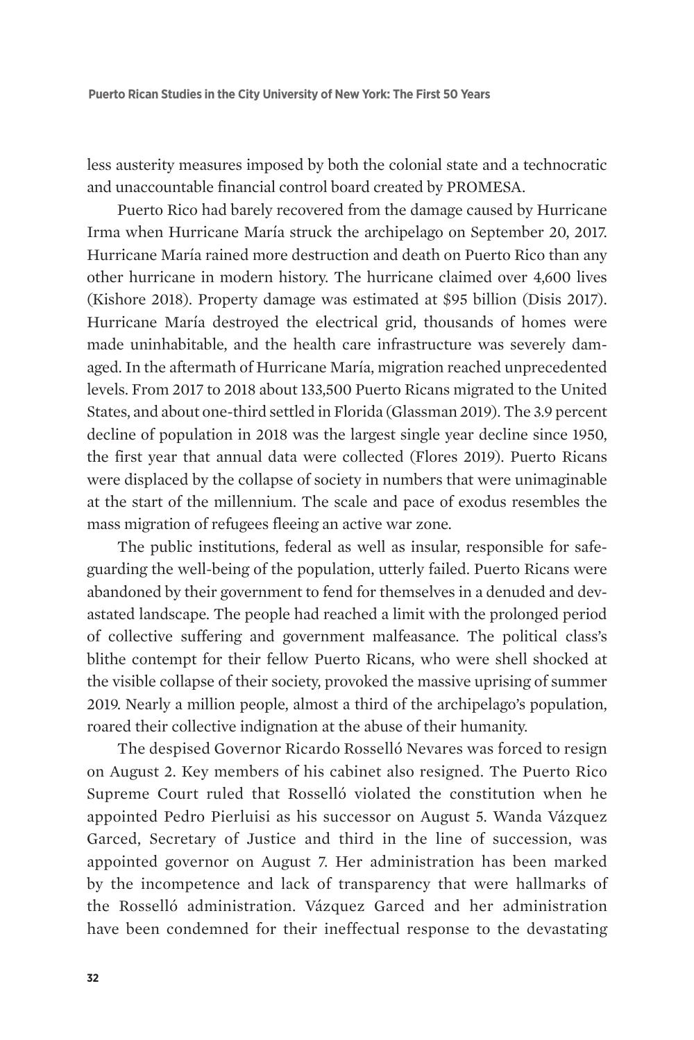less austerity measures imposed by both the colonial state and a technocratic and unaccountable financial control board created by PROMESA.

Puerto Rico had barely recovered from the damage caused by Hurricane Irma when Hurricane María struck the archipelago on September 20, 2017. Hurricane María rained more destruction and death on Puerto Rico than any other hurricane in modern history. The hurricane claimed over 4,600 lives (Kishore 2018). Property damage was estimated at \$95 billion (Disis 2017). Hurricane María destroyed the electrical grid, thousands of homes were made uninhabitable, and the health care infrastructure was severely damaged. In the aftermath of Hurricane María, migration reached unprecedented levels. From 2017 to 2018 about 133,500 Puerto Ricans migrated to the United States, and about one-third settled in Florida (Glassman 2019). The 3.9 percent decline of population in 2018 was the largest single year decline since 1950, the first year that annual data were collected (Flores 2019). Puerto Ricans were displaced by the collapse of society in numbers that were unimaginable at the start of the millennium. The scale and pace of exodus resembles the mass migration of refugees fleeing an active war zone.

The public institutions, federal as well as insular, responsible for safeguarding the well-being of the population, utterly failed. Puerto Ricans were abandoned by their government to fend for themselves in a denuded and devastated landscape. The people had reached a limit with the prolonged period of collective suffering and government malfeasance. The political class's blithe contempt for their fellow Puerto Ricans, who were shell shocked at the visible collapse of their society, provoked the massive uprising of summer 2019. Nearly a million people, almost a third of the archipelago's population, roared their collective indignation at the abuse of their humanity.

The despised Governor Ricardo Rosselló Nevares was forced to resign on August 2. Key members of his cabinet also resigned. The Puerto Rico Supreme Court ruled that Rosselló violated the constitution when he appointed Pedro Pierluisi as his successor on August 5. Wanda Vázquez Garced, Secretary of Justice and third in the line of succession, was appointed governor on August 7. Her administration has been marked by the incompetence and lack of transparency that were hallmarks of the Rosselló administration. Vázquez Garced and her administration have been condemned for their ineffectual response to the devastating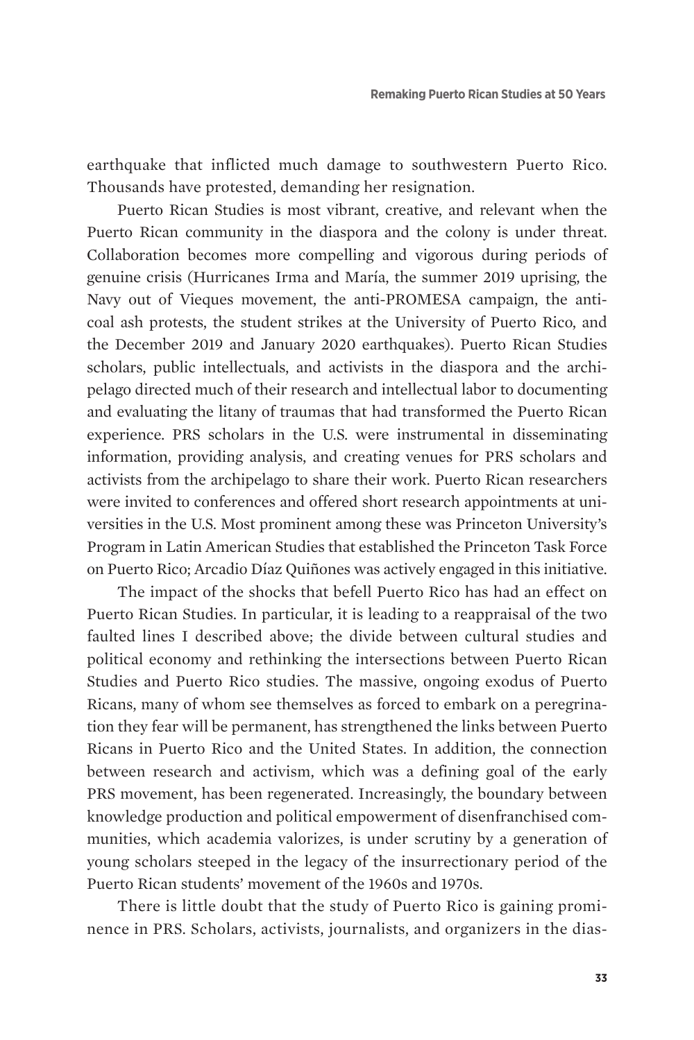earthquake that inflicted much damage to southwestern Puerto Rico. Thousands have protested, demanding her resignation.

Puerto Rican Studies is most vibrant, creative, and relevant when the Puerto Rican community in the diaspora and the colony is under threat. Collaboration becomes more compelling and vigorous during periods of genuine crisis (Hurricanes Irma and María, the summer 2019 uprising, the Navy out of Vieques movement, the anti-PROMESA campaign, the anticoal ash protests, the student strikes at the University of Puerto Rico, and the December 2019 and January 2020 earthquakes). Puerto Rican Studies scholars, public intellectuals, and activists in the diaspora and the archipelago directed much of their research and intellectual labor to documenting and evaluating the litany of traumas that had transformed the Puerto Rican experience. PRS scholars in the U.S. were instrumental in disseminating information, providing analysis, and creating venues for PRS scholars and activists from the archipelago to share their work. Puerto Rican researchers were invited to conferences and offered short research appointments at universities in the U.S. Most prominent among these was Princeton University's Program in Latin American Studies that established the Princeton Task Force on Puerto Rico; Arcadio Díaz Quiñones was actively engaged in this initiative.

The impact of the shocks that befell Puerto Rico has had an effect on Puerto Rican Studies. In particular, it is leading to a reappraisal of the two faulted lines I described above; the divide between cultural studies and political economy and rethinking the intersections between Puerto Rican Studies and Puerto Rico studies. The massive, ongoing exodus of Puerto Ricans, many of whom see themselves as forced to embark on a peregrination they fear will be permanent, has strengthened the links between Puerto Ricans in Puerto Rico and the United States. In addition, the connection between research and activism, which was a defining goal of the early PRS movement, has been regenerated. Increasingly, the boundary between knowledge production and political empowerment of disenfranchised communities, which academia valorizes, is under scrutiny by a generation of young scholars steeped in the legacy of the insurrectionary period of the Puerto Rican students' movement of the 1960s and 1970s.

There is little doubt that the study of Puerto Rico is gaining prominence in PRS. Scholars, activists, journalists, and organizers in the dias-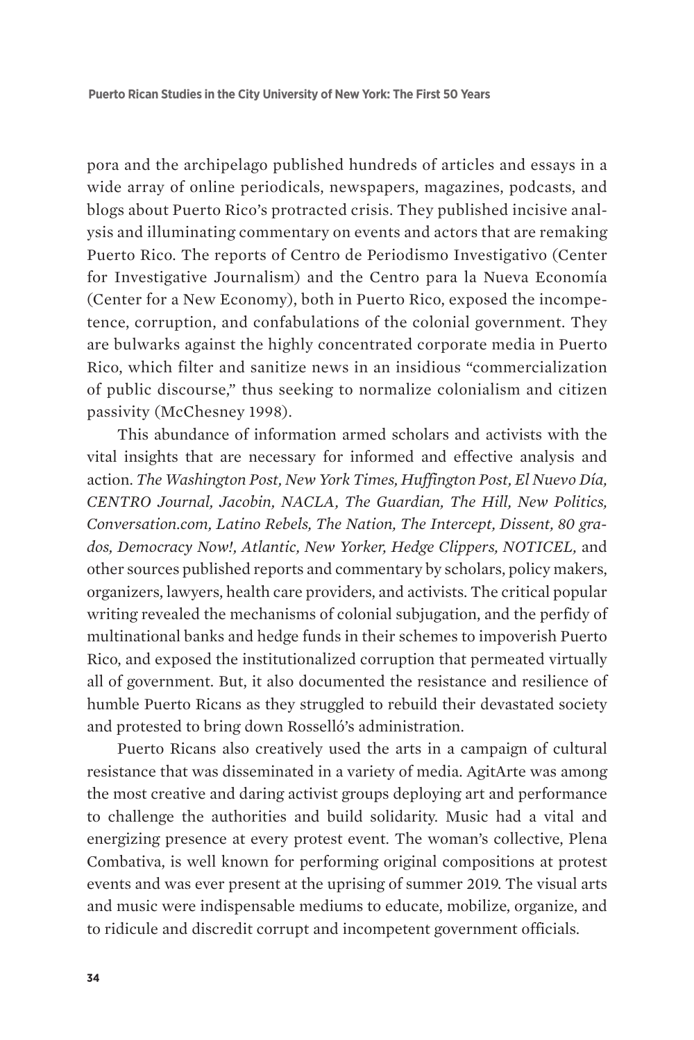pora and the archipelago published hundreds of articles and essays in a wide array of online periodicals, newspapers, magazines, podcasts, and blogs about Puerto Rico's protracted crisis. They published incisive analysis and illuminating commentary on events and actors that are remaking Puerto Rico. The reports of Centro de Periodismo Investigativo (Center for Investigative Journalism) and the Centro para la Nueva Economía (Center for a New Economy), both in Puerto Rico, exposed the incompetence, corruption, and confabulations of the colonial government. They are bulwarks against the highly concentrated corporate media in Puerto Rico, which filter and sanitize news in an insidious "commercialization of public discourse," thus seeking to normalize colonialism and citizen passivity (McChesney 1998).

This abundance of information armed scholars and activists with the vital insights that are necessary for informed and effective analysis and action. *The Washington Post, New York Times, Huffington Post, El Nuevo Día, CENTRO Journal, Jacobin, NACLA, The Guardian, The Hill, New Politics, Conversation.com, Latino Rebels, The Nation, The Intercept, Dissent, 80 grados, Democracy Now!, Atlantic, New Yorker, Hedge Clippers, NOTICEL,* and other sources published reports and commentary by scholars, policy makers, organizers, lawyers, health care providers, and activists. The critical popular writing revealed the mechanisms of colonial subjugation, and the perfidy of multinational banks and hedge funds in their schemes to impoverish Puerto Rico, and exposed the institutionalized corruption that permeated virtually all of government. But, it also documented the resistance and resilience of humble Puerto Ricans as they struggled to rebuild their devastated society and protested to bring down Rosselló's administration.

Puerto Ricans also creatively used the arts in a campaign of cultural resistance that was disseminated in a variety of media. AgitArte was among the most creative and daring activist groups deploying art and performance to challenge the authorities and build solidarity. Music had a vital and energizing presence at every protest event. The woman's collective, Plena Combativa, is well known for performing original compositions at protest events and was ever present at the uprising of summer 2019. The visual arts and music were indispensable mediums to educate, mobilize, organize, and to ridicule and discredit corrupt and incompetent government officials.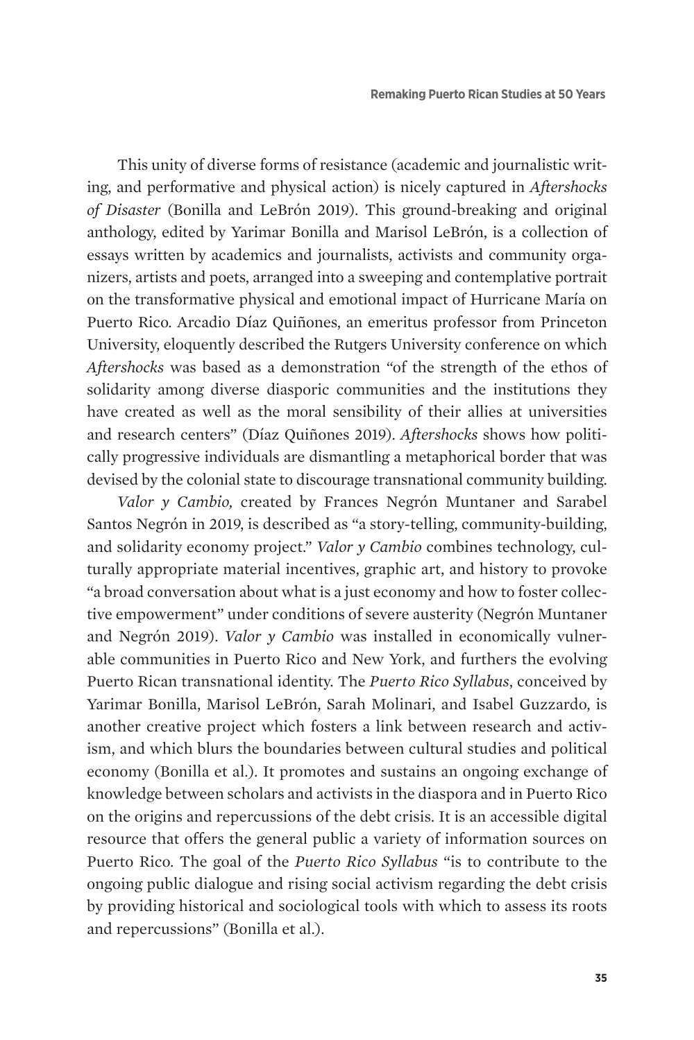This unity of diverse forms of resistance (academic and journalistic writing, and performative and physical action) is nicely captured in *Aftershocks of Disaster* (Bonilla and LeBrón 2019). This ground-breaking and original anthology, edited by Yarimar Bonilla and Marisol LeBrón, is a collection of essays written by academics and journalists, activists and community organizers, artists and poets, arranged into a sweeping and contemplative portrait on the transformative physical and emotional impact of Hurricane María on Puerto Rico. Arcadio Díaz Quiñones, an emeritus professor from Princeton University, eloquently described the Rutgers University conference on which *Aftershocks* was based as a demonstration "of the strength of the ethos of solidarity among diverse diasporic communities and the institutions they have created as well as the moral sensibility of their allies at universities and research centers" (Díaz Quiñones 2019). *Aftershocks* shows how politically progressive individuals are dismantling a metaphorical border that was devised by the colonial state to discourage transnational community building.

*Valor y Cambio,* created by Frances Negrón Muntaner and Sarabel Santos Negrón in 2019, is described as "a story-telling, community-building, and solidarity economy project." *Valor y Cambio* combines technology, culturally appropriate material incentives, graphic art, and history to provoke "a broad conversation about what is a just economy and how to foster collective empowerment" under conditions of severe austerity (Negrón Muntaner and Negrón 2019). *Valor y Cambio* was installed in economically vulnerable communities in Puerto Rico and New York, and furthers the evolving Puerto Rican transnational identity. The *Puerto Rico Syllabus*, conceived by Yarimar Bonilla, Marisol LeBrón, Sarah Molinari, and Isabel Guzzardo, is another creative project which fosters a link between research and activism, and which blurs the boundaries between cultural studies and political economy (Bonilla et al.). It promotes and sustains an ongoing exchange of knowledge between scholars and activists in the diaspora and in Puerto Rico on the origins and repercussions of the debt crisis. It is an accessible digital resource that offers the general public a variety of information sources on Puerto Rico. The goal of the *Puerto Rico Syllabus* "is to contribute to the ongoing public dialogue and rising social activism regarding the debt crisis by providing historical and sociological tools with which to assess its roots and repercussions" (Bonilla et al.).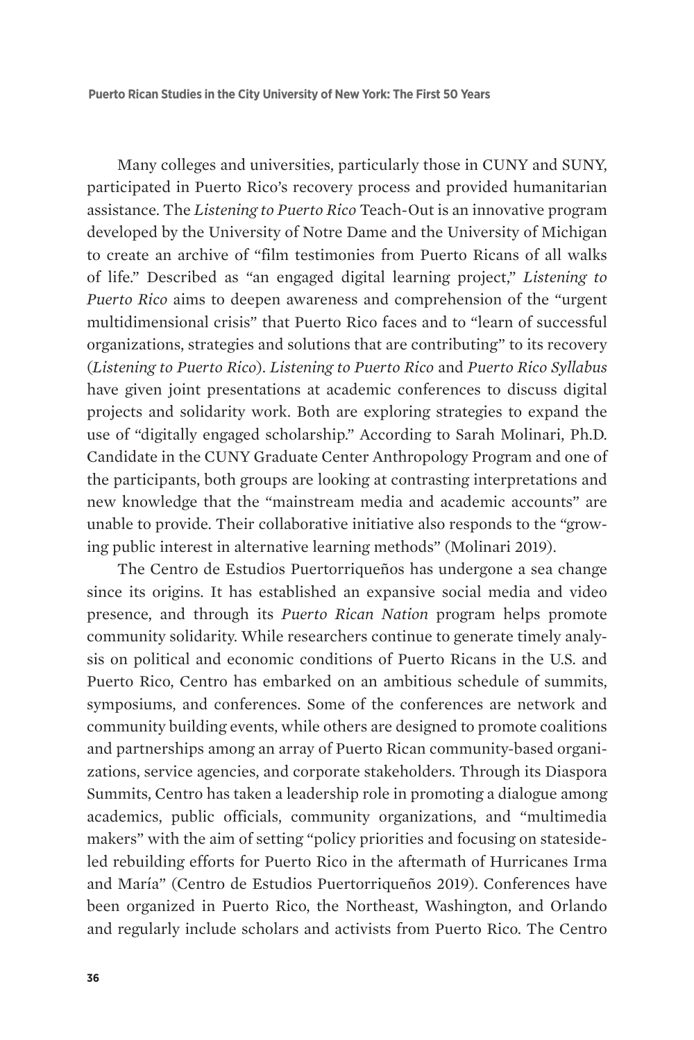**Puerto Rican Studies in the City University of New York: The First 50 Years**

Many colleges and universities, particularly those in CUNY and SUNY, participated in Puerto Rico's recovery process and provided humanitarian assistance. The *Listening to Puerto Rico* Teach-Out is an innovative program developed by the University of Notre Dame and the University of Michigan to create an archive of "film testimonies from Puerto Ricans of all walks of life." Described as "an engaged digital learning project," *Listening to Puerto Rico* aims to deepen awareness and comprehension of the "urgent multidimensional crisis" that Puerto Rico faces and to "learn of successful organizations, strategies and solutions that are contributing" to its recovery (*Listening to Puerto Rico*). *Listening to Puerto Rico* and *Puerto Rico Syllabus*  have given joint presentations at academic conferences to discuss digital projects and solidarity work. Both are exploring strategies to expand the use of "digitally engaged scholarship." According to Sarah Molinari, Ph.D. Candidate in the CUNY Graduate Center Anthropology Program and one of the participants, both groups are looking at contrasting interpretations and new knowledge that the "mainstream media and academic accounts" are unable to provide. Their collaborative initiative also responds to the "growing public interest in alternative learning methods" (Molinari 2019).

The Centro de Estudios Puertorriqueños has undergone a sea change since its origins. It has established an expansive social media and video presence, and through its *Puerto Rican Nation* program helps promote community solidarity. While researchers continue to generate timely analysis on political and economic conditions of Puerto Ricans in the U.S. and Puerto Rico, Centro has embarked on an ambitious schedule of summits, symposiums, and conferences. Some of the conferences are network and community building events, while others are designed to promote coalitions and partnerships among an array of Puerto Rican community-based organizations, service agencies, and corporate stakeholders. Through its Diaspora Summits, Centro has taken a leadership role in promoting a dialogue among academics, public officials, community organizations, and "multimedia makers" with the aim of setting "policy priorities and focusing on statesideled rebuilding efforts for Puerto Rico in the aftermath of Hurricanes Irma and María" (Centro de Estudios Puertorriqueños 2019). Conferences have been organized in Puerto Rico, the Northeast, Washington, and Orlando and regularly include scholars and activists from Puerto Rico. The Centro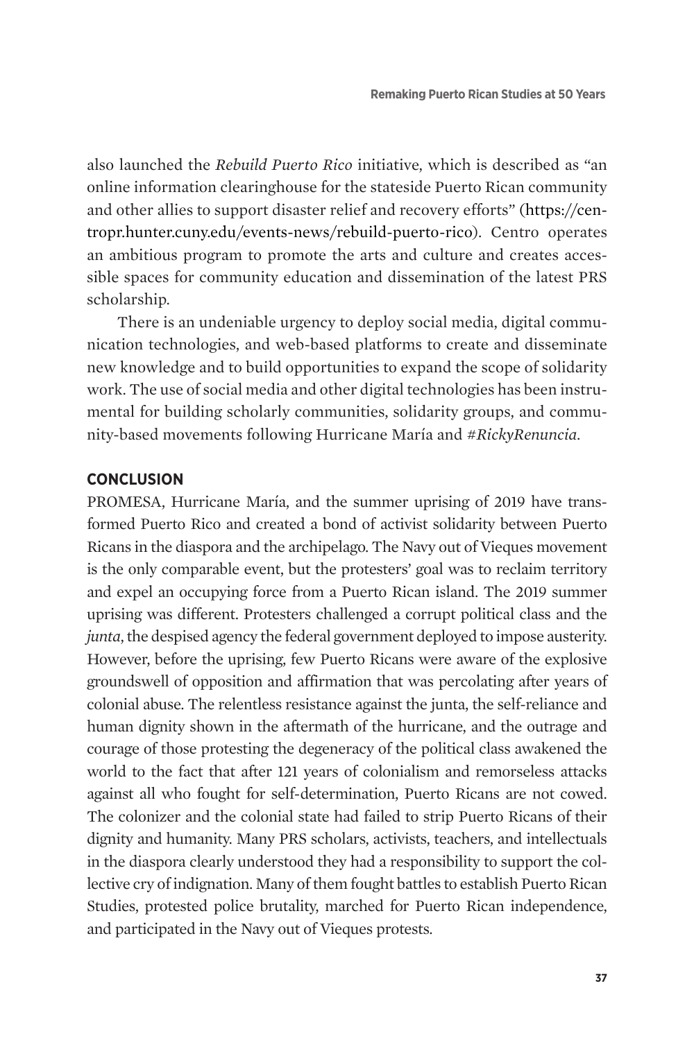also launched the *Rebuild Puerto Rico* initiative, which is described as "an online information clearinghouse for the stateside Puerto Rican community and other allies to support disaster relief and recovery efforts" (https://centropr.hunter.cuny.edu/events-news/rebuild-puerto-rico). Centro operates an ambitious program to promote the arts and culture and creates accessible spaces for community education and dissemination of the latest PRS scholarship.

There is an undeniable urgency to deploy social media, digital communication technologies, and web-based platforms to create and disseminate new knowledge and to build opportunities to expand the scope of solidarity work. The use of social media and other digital technologies has been instrumental for building scholarly communities, solidarity groups, and community-based movements following Hurricane María and *#RickyRenuncia.*

#### **CONCLUSION**

PROMESA, Hurricane María, and the summer uprising of 2019 have transformed Puerto Rico and created a bond of activist solidarity between Puerto Ricans in the diaspora and the archipelago. The Navy out of Vieques movement is the only comparable event, but the protesters' goal was to reclaim territory and expel an occupying force from a Puerto Rican island. The 2019 summer uprising was different. Protesters challenged a corrupt political class and the *junta*, the despised agency the federal government deployed to impose austerity. However, before the uprising, few Puerto Ricans were aware of the explosive groundswell of opposition and affirmation that was percolating after years of colonial abuse. The relentless resistance against the junta, the self-reliance and human dignity shown in the aftermath of the hurricane, and the outrage and courage of those protesting the degeneracy of the political class awakened the world to the fact that after 121 years of colonialism and remorseless attacks against all who fought for self-determination, Puerto Ricans are not cowed. The colonizer and the colonial state had failed to strip Puerto Ricans of their dignity and humanity. Many PRS scholars, activists, teachers, and intellectuals in the diaspora clearly understood they had a responsibility to support the collective cry of indignation. Many of them fought battles to establish Puerto Rican Studies, protested police brutality, marched for Puerto Rican independence, and participated in the Navy out of Vieques protests.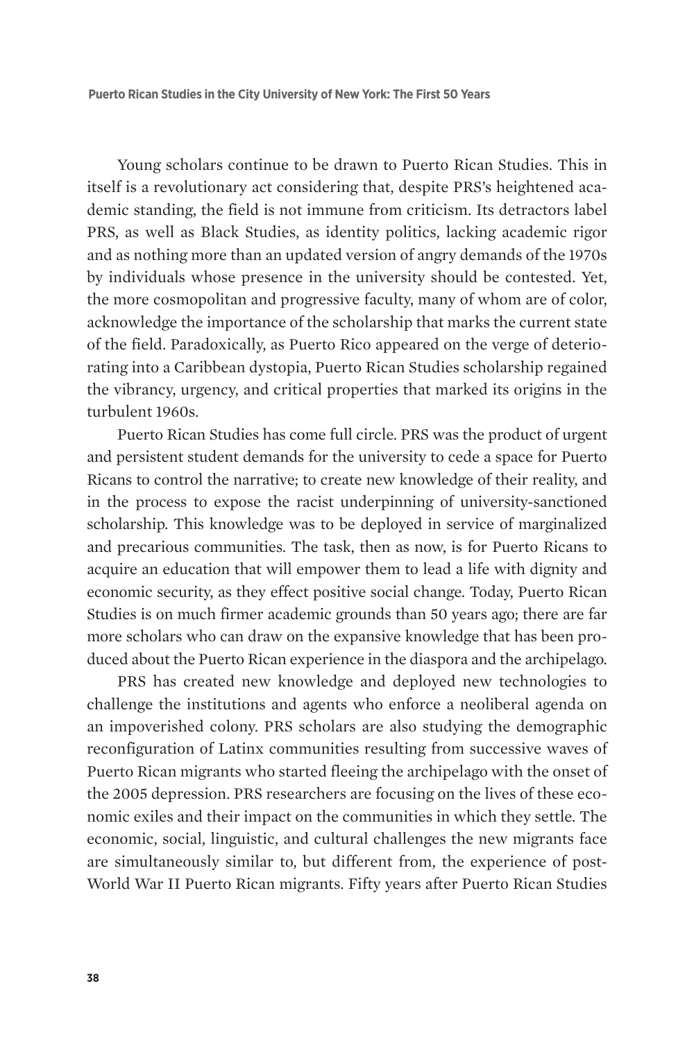Young scholars continue to be drawn to Puerto Rican Studies. This in itself is a revolutionary act considering that, despite PRS's heightened academic standing, the field is not immune from criticism. Its detractors label PRS, as well as Black Studies, as identity politics, lacking academic rigor and as nothing more than an updated version of angry demands of the 1970s by individuals whose presence in the university should be contested. Yet, the more cosmopolitan and progressive faculty, many of whom are of color, acknowledge the importance of the scholarship that marks the current state of the field. Paradoxically, as Puerto Rico appeared on the verge of deteriorating into a Caribbean dystopia, Puerto Rican Studies scholarship regained the vibrancy, urgency, and critical properties that marked its origins in the turbulent 1960s.

Puerto Rican Studies has come full circle. PRS was the product of urgent and persistent student demands for the university to cede a space for Puerto Ricans to control the narrative; to create new knowledge of their reality, and in the process to expose the racist underpinning of university-sanctioned scholarship. This knowledge was to be deployed in service of marginalized and precarious communities. The task, then as now, is for Puerto Ricans to acquire an education that will empower them to lead a life with dignity and economic security, as they effect positive social change. Today, Puerto Rican Studies is on much firmer academic grounds than 50 years ago; there are far more scholars who can draw on the expansive knowledge that has been produced about the Puerto Rican experience in the diaspora and the archipelago.

PRS has created new knowledge and deployed new technologies to challenge the institutions and agents who enforce a neoliberal agenda on an impoverished colony. PRS scholars are also studying the demographic reconfiguration of Latinx communities resulting from successive waves of Puerto Rican migrants who started fleeing the archipelago with the onset of the 2005 depression. PRS researchers are focusing on the lives of these economic exiles and their impact on the communities in which they settle. The economic, social, linguistic, and cultural challenges the new migrants face are simultaneously similar to, but different from, the experience of post-World War II Puerto Rican migrants. Fifty years after Puerto Rican Studies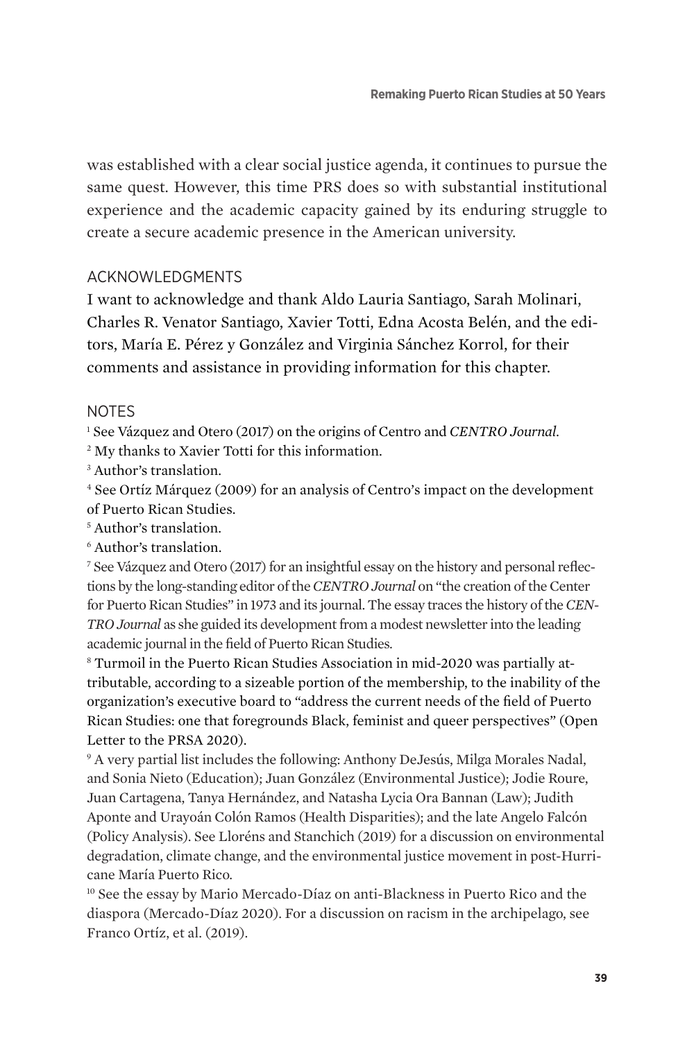was established with a clear social justice agenda, it continues to pursue the same quest. However, this time PRS does so with substantial institutional experience and the academic capacity gained by its enduring struggle to create a secure academic presence in the American university.

## ACKNOWLEDGMENTS

I want to acknowledge and thank Aldo Lauria Santiago, Sarah Molinari, Charles R. Venator Santiago, Xavier Totti, Edna Acosta Belén, and the editors, María E. Pérez y González and Virginia Sánchez Korrol, for their comments and assistance in providing information for this chapter.

## NOTES

<sup>1</sup> See Vázquez and Otero (2017) on the origins of Centro and *CENTRO Journal*.

<sup>2</sup> My thanks to Xavier Totti for this information.

3 Author's translation.

4 See Ortíz Márquez (2009) for an analysis of Centro's impact on the development of Puerto Rican Studies.

5 Author's translation.

6 Author's translation.

7 See Vázquez and Otero (2017) for an insightful essay on the history and personal reflections by the long-standing editor of the *CENTRO Journal* on "the creation of the Center for Puerto Rican Studies" in 1973 and its journal. The essay traces the history of the *CEN-TRO Journal* as she guided its development from a modest newsletter into the leading academic journal in the field of Puerto Rican Studies.

<sup>8</sup> Turmoil in the Puerto Rican Studies Association in mid-2020 was partially attributable, according to a sizeable portion of the membership, to the inability of the organization's executive board to "address the current needs of the field of Puerto Rican Studies: one that foregrounds Black, feminist and queer perspectives" (Open Letter to the PRSA 2020).

9 A very partial list includes the following: Anthony DeJesús, Milga Morales Nadal, and Sonia Nieto (Education); Juan González (Environmental Justice); Jodie Roure, Juan Cartagena, Tanya Hernández, and Natasha Lycia Ora Bannan (Law); Judith Aponte and Urayoán Colón Ramos (Health Disparities); and the late Angelo Falcón (Policy Analysis). See Lloréns and Stanchich (2019) for a discussion on environmental degradation, climate change, and the environmental justice movement in post-Hurricane María Puerto Rico.

10 See the essay by Mario Mercado-Díaz on anti-Blackness in Puerto Rico and the diaspora (Mercado-Díaz 2020). For a discussion on racism in the archipelago, see Franco Ortíz, et al. (2019).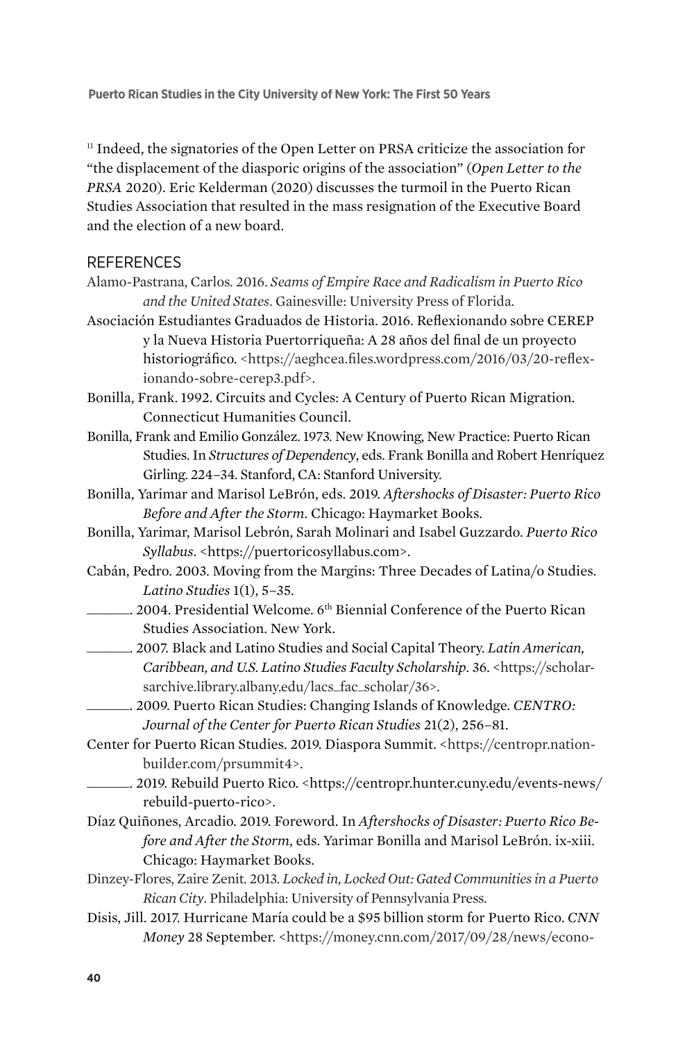**Puerto Rican Studies in the City University of New York: The First 50 Years**

<sup>11</sup> Indeed, the signatories of the Open Letter on PRSA criticize the association for "the displacement of the diasporic origins of the association" (*Open Letter to the PRSA* 2020). Eric Kelderman (2020) discusses the turmoil in the Puerto Rican Studies Association that resulted in the mass resignation of the Executive Board and the election of a new board.

#### **REFERENCES**

- Alamo-Pastrana, Carlos. 2016. *Seams of Empire Race and Radicalism in Puerto Rico and the United States*. Gainesville: University Press of Florida.
- Asociación Estudiantes Graduados de Historia. 2016. Reflexionando sobre CEREP y la Nueva Historia Puertorriqueña: A 28 años del final de un proyecto historiográfico. <https://aeghcea.files.wordpress.com/2016/03/20-reflexionando-sobre-cerep3.pdf>.
- Bonilla, Frank. 1992. Circuits and Cycles: A Century of Puerto Rican Migration. Connecticut Humanities Council.
- Bonilla, Frank and Emilio González. 1973. New Knowing, New Practice: Puerto Rican Studies. In *Structures of Dependency*, eds. Frank Bonilla and Robert Henríquez Girling. 224–34. Stanford, CA: Stanford University.
- Bonilla, Yarimar and Marisol LeBrón, eds. 2019. *Aftershocks of Disaster: Puerto Rico Before and After the Storm*. Chicago: Haymarket Books.
- Bonilla, Yarimar, Marisol Lebrón, Sarah Molinari and Isabel Guzzardo. *Puerto Rico Syllabus*. <https://puertoricosyllabus.com>.
- Cabán, Pedro. 2003. Moving from the Margins: Three Decades of Latina/o Studies. *Latino Studies* 1(1), 5–35.
	- \_\_\_\_\_\_\_. 2004. Presidential Welcome. 6th Biennial Conference of the Puerto Rican Studies Association. New York.
	- \_\_\_\_\_\_\_. 2007. Black and Latino Studies and Social Capital Theory. *Latin American, Caribbean, and U.S. Latino Studies Faculty Scholarship*. 36. <https://scholarsarchive.library.albany.edu/lacs\_fac\_scholar/36>.
	- \_\_\_\_\_\_\_. 2009. Puerto Rican Studies: Changing Islands of Knowledge. *CENTRO: Journal of the Center for Puerto Rican Studies* 21(2), 256–81.
- Center for Puerto Rican Studies. 2019. Diaspora Summit. <https://centropr.nationbuilder.com/prsummit4>.
- \_\_\_\_\_\_\_. 2019. Rebuild Puerto Rico. <https://centropr.hunter.cuny.edu/events-news/ rebuild-puerto-rico>.
- Díaz Quiñones, Arcadio. 2019. Foreword. In *Aftershocks of Disaster: Puerto Rico Before and After the Storm*, eds. Yarimar Bonilla and Marisol LeBrón. ix-xiii. Chicago: Haymarket Books.
- Dinzey-Flores, Zaire Zenit. 2013. *Locked in, Locked Out: Gated Communities in a Puerto Rican City*. Philadelphia: University of Pennsylvania Press.
- Disis, Jill. 2017. Hurricane María could be a \$95 billion storm for Puerto Rico. *CNN Money* 28 September. <https://money.cnn.com/2017/09/28/news/econo-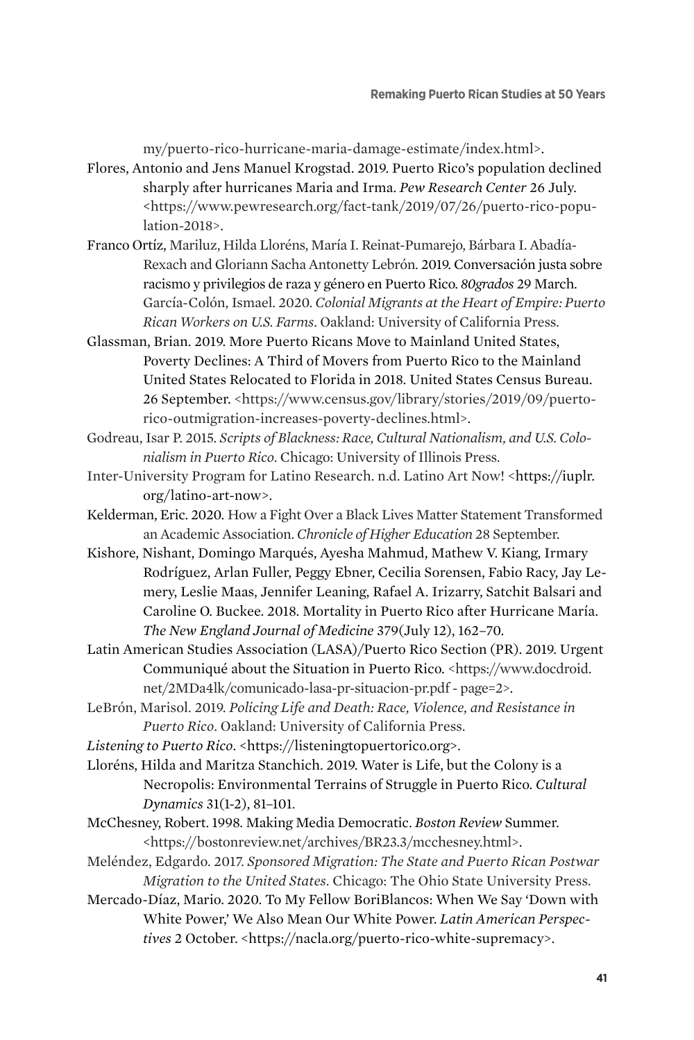my/puerto-rico-hurricane-maria-damage-estimate/index.html>.

- Flores, Antonio and Jens Manuel Krogstad. 2019. Puerto Rico's population declined sharply after hurricanes Maria and Irma. *Pew Research Center* 26 July. <https://www.pewresearch.org/fact-tank/2019/07/26/puerto-rico-population-2018>.
- Franco Ortíz, Mariluz, Hilda Lloréns, María I. Reinat-Pumarejo, Bárbara I. Abadía-Rexach and Gloriann Sacha Antonetty Lebrón. 2019. Conversación justa sobre racismo y privilegios de raza y género en Puerto Rico. *80grados* 29 March. García-Colón, Ismael. 2020. *Colonial Migrants at the Heart of Empire: Puerto Rican Workers on U.S. Farms*. Oakland: University of California Press.
- Glassman, Brian. 2019. More Puerto Ricans Move to Mainland United States, Poverty Declines: A Third of Movers from Puerto Rico to the Mainland United States Relocated to Florida in 2018. United States Census Bureau. 26 September. <https://www.census.gov/library/stories/2019/09/puertorico-outmigration-increases-poverty-declines.html>.
- Godreau, Isar P. 2015. *Scripts of Blackness: Race, Cultural Nationalism, and U.S. Colonialism in Puerto Rico*. Chicago: University of Illinois Press.
- Inter-University Program for Latino Research. n.d. Latino Art Now! <https://iuplr. org/latino-art-now>.
- Kelderman, Eric. 2020. How a Fight Over a Black Lives Matter Statement Transformed an Academic Association. *Chronicle of Higher Education* 28 September.
- Kishore, Nishant, Domingo Marqués, Ayesha Mahmud, Mathew V. Kiang, Irmary Rodríguez, Arlan Fuller, Peggy Ebner, Cecilia Sorensen, Fabio Racy, Jay Lemery, Leslie Maas, Jennifer Leaning, Rafael A. Irizarry, Satchit Balsari and Caroline O. Buckee. 2018. Mortality in Puerto Rico after Hurricane María. *The New England Journal of Medicine* 379(July 12), 162–70.
- Latin American Studies Association (LASA)/Puerto Rico Section (PR). 2019. Urgent Communiqué about the Situation in Puerto Rico. <https://www.docdroid. net/2MDa4lk/comunicado-lasa-pr-situacion-pr.pdf - page=2>.
- LeBrón, Marisol. 2019. *Policing Life and Death: Race, Violence, and Resistance in Puerto Rico*. Oakland: University of California Press.
- Listening to Puerto Rico. <https://listeningtopuertorico.org>.
- Lloréns, Hilda and Maritza Stanchich. 2019. Water is Life, but the Colony is a Necropolis: Environmental Terrains of Struggle in Puerto Rico. *Cultural Dynamics* 31(1-2), 81–101.
- McChesney, Robert. 1998. Making Media Democratic. *Boston Review* Summer. <https://bostonreview.net/archives/BR23.3/mcchesney.html>.
- Meléndez, Edgardo. 2017. *Sponsored Migration: The State and Puerto Rican Postwar Migration to the United States*. Chicago: The Ohio State University Press.
- Mercado-Díaz, Mario. 2020. To My Fellow BoriBlancos: When We Say 'Down with White Power,' We Also Mean Our White Power. *Latin American Perspectives* 2 October. <https://nacla.org/puerto-rico-white-supremacy>.